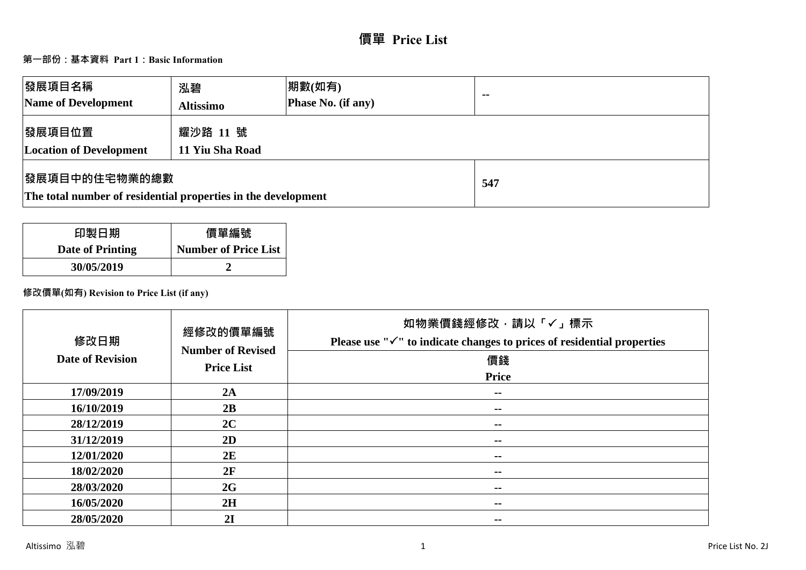# **價單 Price List**

# **第一部份:基本資料 Part 1:Basic Information**

| 發展項目名稱<br>Name of Development                                                  | 泓碧<br><b>Altissimo</b>      | 期數(如有)<br>Phase No. (if any) | $\blacksquare$ |
|--------------------------------------------------------------------------------|-----------------------------|------------------------------|----------------|
| 發展項目位置<br><b>Location of Development</b>                                       | 耀沙路 11 號<br>11 Yiu Sha Road |                              |                |
| 發展項目中的住宅物業的總數<br>The total number of residential properties in the development |                             | 547                          |                |

| 印製日期             | 價單編號                        |
|------------------|-----------------------------|
| Date of Printing | <b>Number of Price List</b> |
| 30/05/2019       |                             |

# **修改價單(如有) Revision to Price List (if any)**

| 修改日期<br><b>Date of Revision</b> | 經修改的價單編號<br><b>Number of Revised</b><br><b>Price List</b> | 如物業價錢經修改,請以「✓」標示<br>Please use " $\checkmark$ " to indicate changes to prices of residential properties<br>價錢<br><b>Price</b> |
|---------------------------------|-----------------------------------------------------------|-------------------------------------------------------------------------------------------------------------------------------|
| 17/09/2019                      | 2A                                                        | $\sim$ $\sim$                                                                                                                 |
| 16/10/2019                      | 2B                                                        | $\sim$                                                                                                                        |
| 28/12/2019                      | 2C                                                        | $\sim$                                                                                                                        |
| 31/12/2019                      | 2D                                                        | $\sim$ $-$                                                                                                                    |
| 12/01/2020                      | 2E                                                        | $\sim$ $-$                                                                                                                    |
| 18/02/2020                      | 2F                                                        | $\sim$ $-$                                                                                                                    |
| 28/03/2020                      | 2G                                                        | $\sim$ $-$                                                                                                                    |
| 16/05/2020                      | 2H                                                        | --                                                                                                                            |
| 28/05/2020                      | 2I                                                        | $\sim$                                                                                                                        |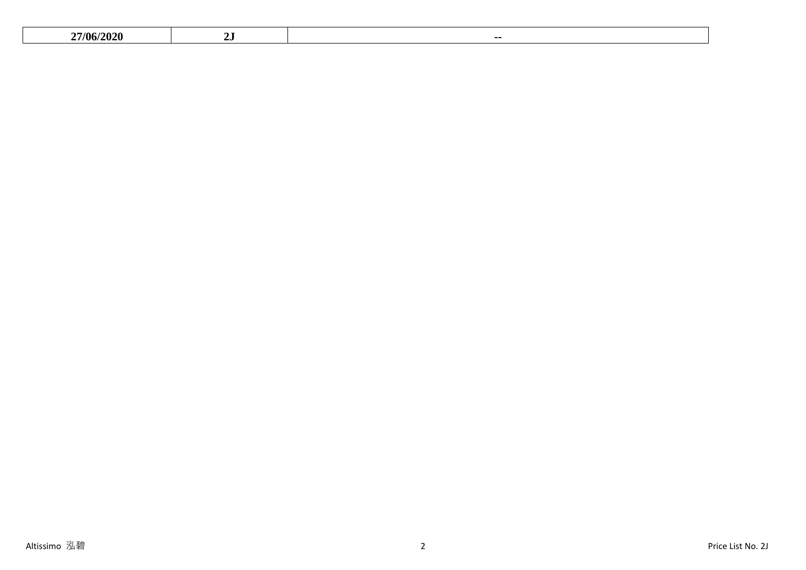|  | $\sim$<br>7/OC |  | -- |
|--|----------------|--|----|
|--|----------------|--|----|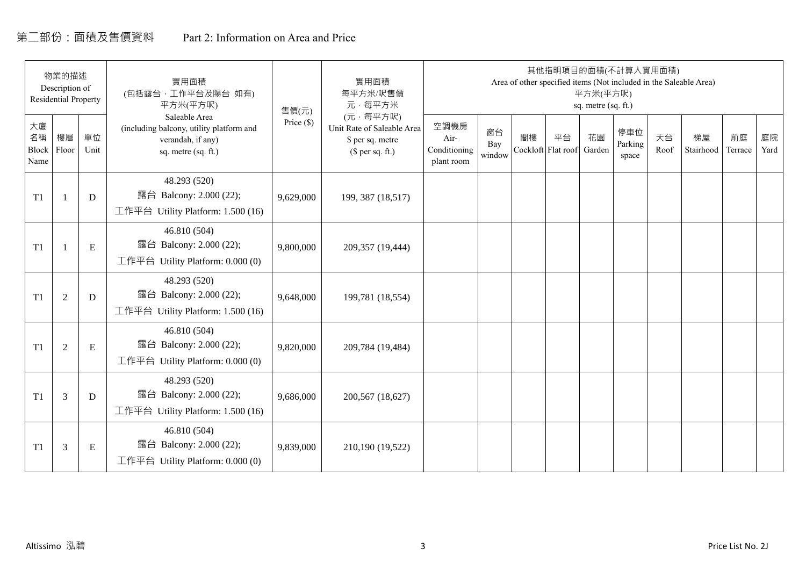# 第二部份:面積及售價資料 Part 2: Information on Area and Price

|                           | 物業的描述<br>Description of<br><b>Residential Property</b> |            | 實用面積<br>(包括露台,工作平台及陽台 如有)<br>平方米(平方呎)                                                                 | 實用面積<br>每平方米/呎售價<br>元·每平方米 | 其他指明項目的面積(不計算入實用面積)<br>Area of other specified items (Not included in the Saleable Area)<br>平方米(平方呎)<br>sq. metre (sq. ft.)<br>(元·每平方呎) |                                            |                     |    |                          |              |                         |            |                 |               |            |
|---------------------------|--------------------------------------------------------|------------|-------------------------------------------------------------------------------------------------------|----------------------------|-----------------------------------------------------------------------------------------------------------------------------------------|--------------------------------------------|---------------------|----|--------------------------|--------------|-------------------------|------------|-----------------|---------------|------------|
| 大廈<br>名稱<br>Block<br>Name | 樓層<br>Floor                                            | 單位<br>Unit | Saleable Area<br>(including balcony, utility platform and<br>verandah, if any)<br>sq. metre (sq. ft.) | 售價(元)<br>Price (\$)        | Unit Rate of Saleable Area<br>\$ per sq. metre<br>$$$ per sq. ft.)                                                                      | 空調機房<br>Air-<br>Conditioning<br>plant room | 窗台<br>Bay<br>window | 閣樓 | 平台<br>Cockloft Flat roof | 花園<br>Garden | 停車位<br>Parking<br>space | 天台<br>Roof | 梯屋<br>Stairhood | 前庭<br>Terrace | 庭院<br>Yard |
| T1                        |                                                        | D          | 48.293 (520)<br>露台 Balcony: 2.000 (22);<br>工作平台 Utility Platform: 1.500 (16)                          | 9,629,000                  | 199, 387 (18,517)                                                                                                                       |                                            |                     |    |                          |              |                         |            |                 |               |            |
| T1                        |                                                        | ${\bf E}$  | 46.810 (504)<br>露台 Balcony: 2.000 (22);<br>工作平台 Utility Platform: $0.000(0)$                          | 9,800,000                  | 209,357 (19,444)                                                                                                                        |                                            |                     |    |                          |              |                         |            |                 |               |            |
| T1                        | $\overline{2}$                                         | D          | 48.293 (520)<br>露台 Balcony: 2.000 (22);<br>工作平台 Utility Platform: 1.500 (16)                          | 9,648,000                  | 199,781 (18,554)                                                                                                                        |                                            |                     |    |                          |              |                         |            |                 |               |            |
| T1                        | 2                                                      | ${\bf E}$  | 46.810 (504)<br>露台 Balcony: 2.000 (22);<br>工作平台 Utility Platform: 0.000 (0)                           | 9,820,000                  | 209,784 (19,484)                                                                                                                        |                                            |                     |    |                          |              |                         |            |                 |               |            |
| T1                        | 3                                                      | D          | 48.293 (520)<br>露台 Balcony: 2.000 (22);<br>工作平台 Utility Platform: $1.500(16)$                         | 9,686,000                  | 200,567 (18,627)                                                                                                                        |                                            |                     |    |                          |              |                         |            |                 |               |            |
| T1                        | 3                                                      | Ε          | 46.810 (504)<br>露台 Balcony: 2.000 (22);<br>工作平台 Utility Platform: $0.000(0)$                          | 9,839,000                  | 210,190 (19,522)                                                                                                                        |                                            |                     |    |                          |              |                         |            |                 |               |            |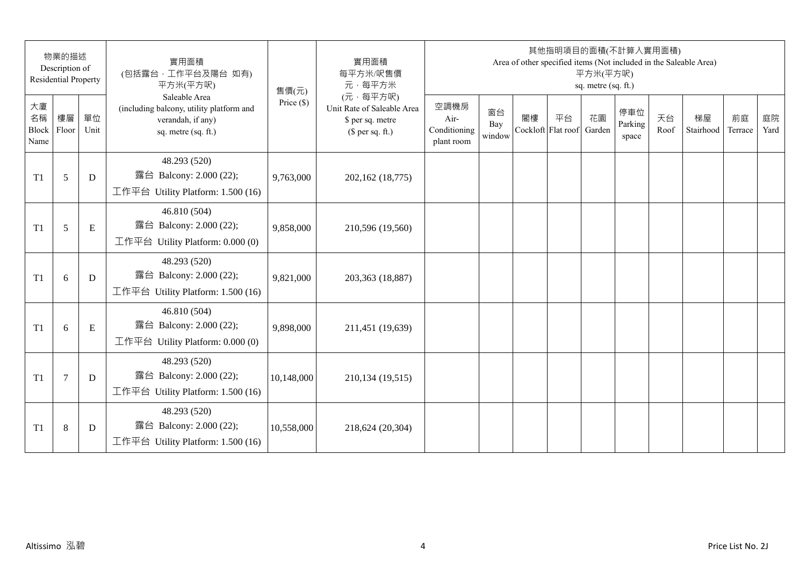|                                 | 物業的描述<br>Description of<br><b>Residential Property</b> |            | 實用面積<br>(包括露台, 工作平台及陽台 如有)<br>平方米(平方呎)                                                                | 售價(元)        | 實用面積<br>每平方米/呎售價<br>元·每平方米                                                     |                                            |                     |                          | 其他指明項目的面積(不計算入實用面積) | 平方米(平方呎)<br>sq. metre (sq. ft.) |                         |            | Area of other specified items (Not included in the Saleable Area) |               |            |
|---------------------------------|--------------------------------------------------------|------------|-------------------------------------------------------------------------------------------------------|--------------|--------------------------------------------------------------------------------|--------------------------------------------|---------------------|--------------------------|---------------------|---------------------------------|-------------------------|------------|-------------------------------------------------------------------|---------------|------------|
| 大廈<br>名稱<br>Block Floor<br>Name | 樓層                                                     | 單位<br>Unit | Saleable Area<br>(including balcony, utility platform and<br>verandah, if any)<br>sq. metre (sq. ft.) | Price $(\$)$ | (元·每平方呎)<br>Unit Rate of Saleable Area<br>\$ per sq. metre<br>$$$ per sq. ft.) | 空調機房<br>Air-<br>Conditioning<br>plant room | 窗台<br>Bay<br>window | 閣樓<br>Cockloft Flat roof | 平台                  | 花園<br>Garden                    | 停車位<br>Parking<br>space | 天台<br>Roof | 梯屋<br>Stairhood                                                   | 前庭<br>Terrace | 庭院<br>Yard |
| T1                              | 5                                                      | D          | 48.293 (520)<br>露台 Balcony: 2.000 (22);<br>工作平台 Utility Platform: 1.500 (16)                          | 9,763,000    | 202,162 (18,775)                                                               |                                            |                     |                          |                     |                                 |                         |            |                                                                   |               |            |
| T1                              | 5                                                      | E          | 46.810 (504)<br>露台 Balcony: 2.000 (22);<br>工作平台 Utility Platform: 0.000 (0)                           | 9,858,000    | 210,596 (19,560)                                                               |                                            |                     |                          |                     |                                 |                         |            |                                                                   |               |            |
| T1                              | 6                                                      | D          | 48.293 (520)<br>露台 Balcony: 2.000 (22);<br>工作平台 Utility Platform: 1.500 (16)                          | 9,821,000    | 203,363 (18,887)                                                               |                                            |                     |                          |                     |                                 |                         |            |                                                                   |               |            |
| T1                              | 6                                                      | ${\bf E}$  | 46.810 (504)<br>露台 Balcony: 2.000 (22);<br>工作平台 Utility Platform: 0.000 (0)                           | 9,898,000    | 211,451 (19,639)                                                               |                                            |                     |                          |                     |                                 |                         |            |                                                                   |               |            |
| T1                              | $\tau$                                                 | D          | 48.293 (520)<br>露台 Balcony: 2.000 (22);<br>工作平台 Utility Platform: 1.500 (16)                          | 10,148,000   | 210,134 (19,515)                                                               |                                            |                     |                          |                     |                                 |                         |            |                                                                   |               |            |
| T1                              | $\,8\,$                                                | D          | 48.293 (520)<br>露台 Balcony: 2.000 (22);<br>工作平台 Utility Platform: 1.500 (16)                          | 10,558,000   | 218,624 (20,304)                                                               |                                            |                     |                          |                     |                                 |                         |            |                                                                   |               |            |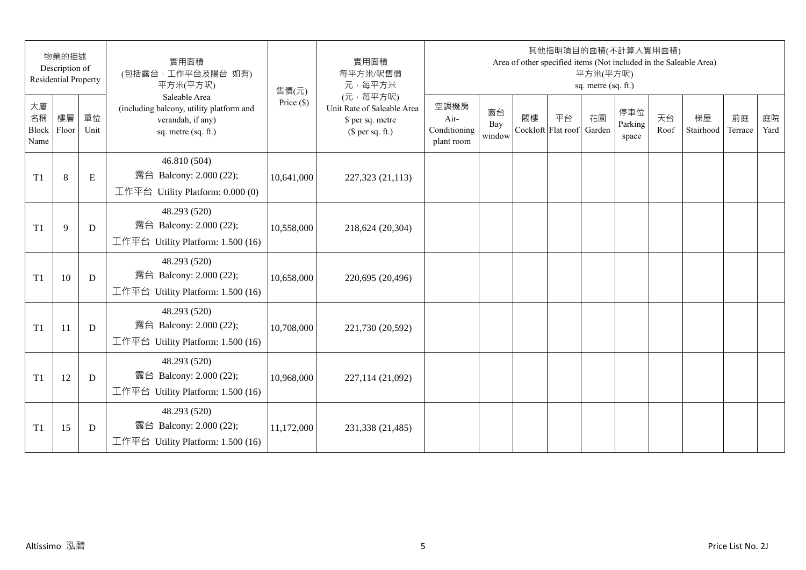|                           | 物業的描述<br>Description of<br><b>Residential Property</b> |             | 實用面積<br>(包括露台,工作平台及陽台 如有)<br>平方米(平方呎)                                                                 | 實用面積<br>每平方米/呎售價<br>元·每平方米 | 其他指明項目的面積(不計算入實用面積)<br>Area of other specified items (Not included in the Saleable Area)<br>平方米(平方呎)<br>sq. metre (sq. ft.) |                                            |                     |    |                          |              |                         |            |                 |               |            |
|---------------------------|--------------------------------------------------------|-------------|-------------------------------------------------------------------------------------------------------|----------------------------|-----------------------------------------------------------------------------------------------------------------------------|--------------------------------------------|---------------------|----|--------------------------|--------------|-------------------------|------------|-----------------|---------------|------------|
| 大廈<br>名稱<br>Block<br>Name | 樓層<br>Floor                                            | 單位<br>Unit  | Saleable Area<br>(including balcony, utility platform and<br>verandah, if any)<br>sq. metre (sq. ft.) | 售價(元)<br>Price $(\$)$      | (元·每平方呎)<br>Unit Rate of Saleable Area<br>\$ per sq. metre<br>$$$ per sq. ft.)                                              | 空調機房<br>Air-<br>Conditioning<br>plant room | 窗台<br>Bay<br>window | 閣樓 | 平台<br>Cockloft Flat roof | 花園<br>Garden | 停車位<br>Parking<br>space | 天台<br>Roof | 梯屋<br>Stairhood | 前庭<br>Terrace | 庭院<br>Yard |
| T <sub>1</sub>            | $8\,$                                                  | $\mathbf E$ | 46.810 (504)<br>露台 Balcony: 2.000 (22);<br>工作平台 Utility Platform: 0.000 (0)                           | 10,641,000                 | 227,323 (21,113)                                                                                                            |                                            |                     |    |                          |              |                         |            |                 |               |            |
| T <sub>1</sub>            | 9                                                      | D           | 48.293 (520)<br>露台 Balcony: 2.000 (22);<br>工作平台 Utility Platform: 1.500 (16)                          | 10,558,000                 | 218,624 (20,304)                                                                                                            |                                            |                     |    |                          |              |                         |            |                 |               |            |
| T <sub>1</sub>            | 10                                                     | D           | 48.293 (520)<br>露台 Balcony: 2.000 (22);<br>工作平台 Utility Platform: 1.500 (16)                          | 10,658,000                 | 220,695 (20,496)                                                                                                            |                                            |                     |    |                          |              |                         |            |                 |               |            |
| T <sub>1</sub>            | 11                                                     | D           | 48.293 (520)<br>露台 Balcony: 2.000 (22);<br>工作平台 Utility Platform: 1.500 (16)                          | 10,708,000                 | 221,730 (20,592)                                                                                                            |                                            |                     |    |                          |              |                         |            |                 |               |            |
| T <sub>1</sub>            | 12                                                     | D           | 48.293 (520)<br>露台 Balcony: 2.000 (22);<br>工作平台 Utility Platform: 1.500 (16)                          | 10,968,000                 | 227,114 (21,092)                                                                                                            |                                            |                     |    |                          |              |                         |            |                 |               |            |
| T1                        | 15                                                     | D           | 48.293 (520)<br>露台 Balcony: 2.000 (22);<br>工作平台 Utility Platform: 1.500 (16)                          | 11,172,000                 | 231,338 (21,485)                                                                                                            |                                            |                     |    |                          |              |                         |            |                 |               |            |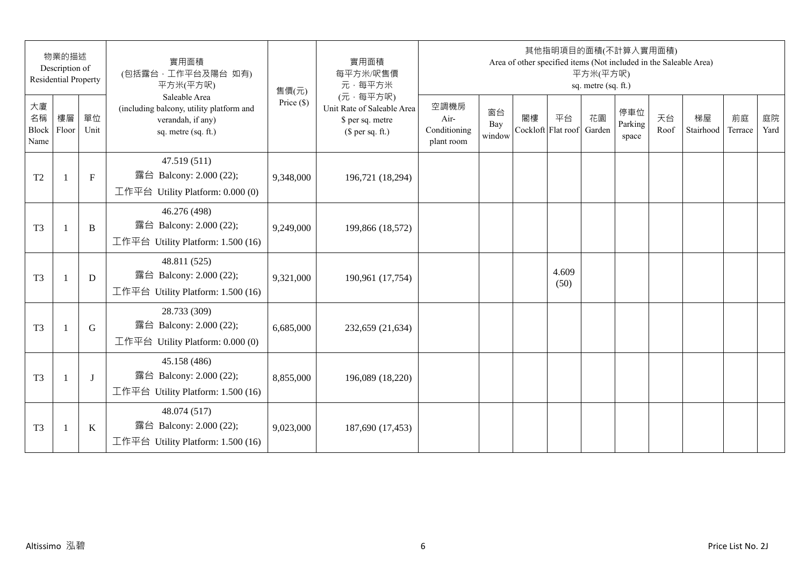|                           | 物業的描述<br>Description of<br><b>Residential Property</b> |            | 實用面積<br>(包括露台,工作平台及陽台 如有)<br>平方米(平方呎)                                                                 | 售價(元)        | 實用面積<br>每平方米/呎售價<br>元·每平方米                                                     |                                            |                     |    | 其他指明項目的面積(不計算入實用面積)<br>Area of other specified items (Not included in the Saleable Area) | 平方米(平方呎)<br>sq. metre (sq. ft.) |                         |            |                 |               |            |
|---------------------------|--------------------------------------------------------|------------|-------------------------------------------------------------------------------------------------------|--------------|--------------------------------------------------------------------------------|--------------------------------------------|---------------------|----|------------------------------------------------------------------------------------------|---------------------------------|-------------------------|------------|-----------------|---------------|------------|
| 大廈<br>名稱<br>Block<br>Name | 樓層<br>Floor                                            | 單位<br>Unit | Saleable Area<br>(including balcony, utility platform and<br>verandah, if any)<br>sq. metre (sq. ft.) | Price $(\$)$ | (元·每平方呎)<br>Unit Rate of Saleable Area<br>\$ per sq. metre<br>(\$ per sq. ft.) | 空調機房<br>Air-<br>Conditioning<br>plant room | 窗台<br>Bay<br>window | 閣樓 | 平台<br>Cockloft Flat roof                                                                 | 花園<br>Garden                    | 停車位<br>Parking<br>space | 天台<br>Roof | 梯屋<br>Stairhood | 前庭<br>Terrace | 庭院<br>Yard |
| T <sub>2</sub>            |                                                        | $F_{\rm}$  | 47.519 (511)<br>露台 Balcony: 2.000 (22);<br>工作平台 Utility Platform: $0.000(0)$                          | 9,348,000    | 196,721 (18,294)                                                               |                                            |                     |    |                                                                                          |                                 |                         |            |                 |               |            |
| T <sub>3</sub>            | $\mathbf{1}$                                           | B          | 46.276 (498)<br>露台 Balcony: 2.000 (22);<br>工作平台 Utility Platform: 1.500 (16)                          | 9,249,000    | 199,866 (18,572)                                                               |                                            |                     |    |                                                                                          |                                 |                         |            |                 |               |            |
| T <sub>3</sub>            | $\mathbf{1}$                                           | D          | 48.811 (525)<br>露台 Balcony: 2.000 (22);<br>工作平台 Utility Platform: 1.500 (16)                          | 9,321,000    | 190,961 (17,754)                                                               |                                            |                     |    | 4.609<br>(50)                                                                            |                                 |                         |            |                 |               |            |
| T <sub>3</sub>            | $\mathbf{1}$                                           | G          | 28.733 (309)<br>露台 Balcony: 2.000 (22);<br>工作平台 Utility Platform: $0.000(0)$                          | 6,685,000    | 232,659 (21,634)                                                               |                                            |                     |    |                                                                                          |                                 |                         |            |                 |               |            |
| T <sub>3</sub>            |                                                        | $\bf{J}$   | 45.158 (486)<br>露台 Balcony: 2.000 (22);<br>工作平台 Utility Platform: 1.500 (16)                          | 8,855,000    | 196,089 (18,220)                                                               |                                            |                     |    |                                                                                          |                                 |                         |            |                 |               |            |
| T <sub>3</sub>            | $\mathbf{1}$                                           | $\bf K$    | 48.074 (517)<br>露台 Balcony: 2.000 (22);<br>工作平台 Utility Platform: 1.500 (16)                          | 9,023,000    | 187,690 (17,453)                                                               |                                            |                     |    |                                                                                          |                                 |                         |            |                 |               |            |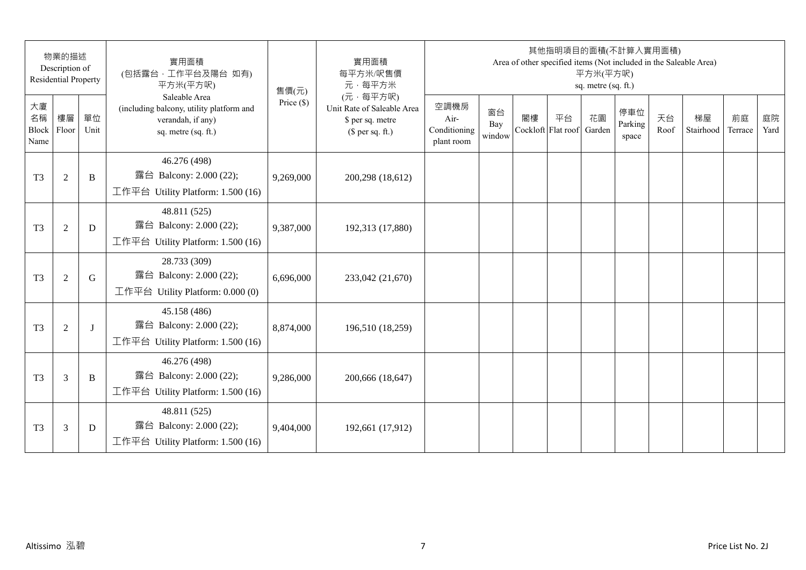|                                 | 物業的描述<br>Description of<br><b>Residential Property</b> |            | 實用面積<br>(包括露台,工作平台及陽台 如有)<br>平方米(平方呎)                                                                 | 售價(元)        | 實用面積<br>每平方米/呎售價<br>元·每平方米                                                     |                                            |                     |                          | 其他指明項目的面積(不計算入實用面積) | 平方米(平方呎)<br>sq. metre (sq. ft.) |                         |            | Area of other specified items (Not included in the Saleable Area) |               |            |
|---------------------------------|--------------------------------------------------------|------------|-------------------------------------------------------------------------------------------------------|--------------|--------------------------------------------------------------------------------|--------------------------------------------|---------------------|--------------------------|---------------------|---------------------------------|-------------------------|------------|-------------------------------------------------------------------|---------------|------------|
| 大廈<br>名稱<br>Block Floor<br>Name | 樓層                                                     | 單位<br>Unit | Saleable Area<br>(including balcony, utility platform and<br>verandah, if any)<br>sq. metre (sq. ft.) | Price $(\$)$ | (元·每平方呎)<br>Unit Rate of Saleable Area<br>\$ per sq. metre<br>$$$ per sq. ft.) | 空調機房<br>Air-<br>Conditioning<br>plant room | 窗台<br>Bay<br>window | 閣樓<br>Cockloft Flat roof | 平台                  | 花園<br>Garden                    | 停車位<br>Parking<br>space | 天台<br>Roof | 梯屋<br>Stairhood                                                   | 前庭<br>Terrace | 庭院<br>Yard |
| T <sub>3</sub>                  | $\mathfrak{2}$                                         | B          | 46.276 (498)<br>露台 Balcony: 2.000 (22);<br>工作平台 Utility Platform: 1.500 (16)                          | 9,269,000    | 200,298 (18,612)                                                               |                                            |                     |                          |                     |                                 |                         |            |                                                                   |               |            |
| T <sub>3</sub>                  | $\sqrt{2}$                                             | D          | 48.811 (525)<br>露台 Balcony: 2.000 (22);<br>工作平台 Utility Platform: 1.500 (16)                          | 9,387,000    | 192,313 (17,880)                                                               |                                            |                     |                          |                     |                                 |                         |            |                                                                   |               |            |
| T <sub>3</sub>                  | $\mathfrak{2}$                                         | G          | 28.733 (309)<br>露台 Balcony: 2.000 (22);<br>工作平台 Utility Platform: 0.000 (0)                           | 6,696,000    | 233,042 (21,670)                                                               |                                            |                     |                          |                     |                                 |                         |            |                                                                   |               |            |
| T <sub>3</sub>                  | $\mathfrak{2}$                                         | J          | 45.158 (486)<br>露台 Balcony: 2.000 (22);<br>工作平台 Utility Platform: 1.500 (16)                          | 8,874,000    | 196,510 (18,259)                                                               |                                            |                     |                          |                     |                                 |                         |            |                                                                   |               |            |
| T <sub>3</sub>                  | 3                                                      | B          | 46.276 (498)<br>露台 Balcony: 2.000 (22);<br>工作平台 Utility Platform: 1.500 (16)                          | 9,286,000    | 200,666 (18,647)                                                               |                                            |                     |                          |                     |                                 |                         |            |                                                                   |               |            |
| T <sub>3</sub>                  | 3                                                      | D          | 48.811 (525)<br>露台 Balcony: 2.000 (22);<br>工作平台 Utility Platform: $1.500(16)$                         | 9,404,000    | 192,661 (17,912)                                                               |                                            |                     |                          |                     |                                 |                         |            |                                                                   |               |            |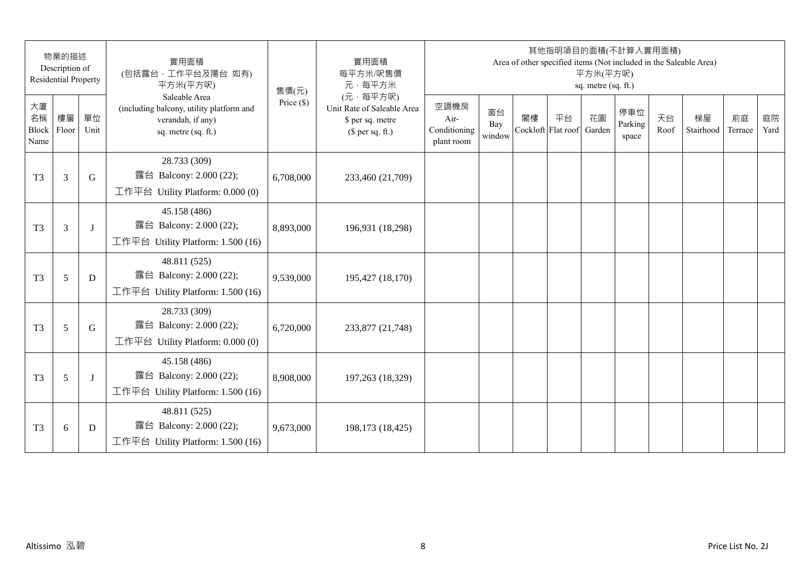|                           | 物業的描述<br>Description of<br><b>Residential Property</b> |            | 實用面積<br>(包括露台,工作平台及陽台 如有)<br>平方米(平方呎)                                                                 | 售價(元)        | 實用面積<br>每平方米/呎售價<br>元·每平方米                                                     |                                            |                     |    | 其他指明項目的面積(不計算入實用面積)      | 平方米(平方呎)<br>sq. metre (sq. ft.) |                         |            | Area of other specified items (Not included in the Saleable Area) |               |            |
|---------------------------|--------------------------------------------------------|------------|-------------------------------------------------------------------------------------------------------|--------------|--------------------------------------------------------------------------------|--------------------------------------------|---------------------|----|--------------------------|---------------------------------|-------------------------|------------|-------------------------------------------------------------------|---------------|------------|
| 大廈<br>名稱<br>Block<br>Name | 樓層<br>Floor                                            | 單位<br>Unit | Saleable Area<br>(including balcony, utility platform and<br>verandah, if any)<br>sq. metre (sq. ft.) | Price $(\$)$ | (元·每平方呎)<br>Unit Rate of Saleable Area<br>\$ per sq. metre<br>$$$ per sq. ft.) | 空調機房<br>Air-<br>Conditioning<br>plant room | 窗台<br>Bay<br>window | 閣樓 | 平台<br>Cockloft Flat roof | 花園<br>Garden                    | 停車位<br>Parking<br>space | 天台<br>Roof | 梯屋<br>Stairhood                                                   | 前庭<br>Terrace | 庭院<br>Yard |
| T <sub>3</sub>            | 3                                                      | G          | 28.733 (309)<br>露台 Balcony: 2.000 (22);<br>工作平台 Utility Platform: 0.000 (0)                           | 6,708,000    | 233,460 (21,709)                                                               |                                            |                     |    |                          |                                 |                         |            |                                                                   |               |            |
| T <sub>3</sub>            | 3                                                      | J          | 45.158 (486)<br>露台 Balcony: 2.000 (22);<br>工作平台 Utility Platform: 1.500 (16)                          | 8,893,000    | 196,931 (18,298)                                                               |                                            |                     |    |                          |                                 |                         |            |                                                                   |               |            |
| T <sub>3</sub>            | 5                                                      | D          | 48.811 (525)<br>露台 Balcony: 2.000 (22);<br>工作平台 Utility Platform: 1.500 (16)                          | 9,539,000    | 195,427 (18,170)                                                               |                                            |                     |    |                          |                                 |                         |            |                                                                   |               |            |
| T <sub>3</sub>            | 5                                                      | G          | 28.733 (309)<br>露台 Balcony: 2.000 (22);<br>工作平台 Utility Platform: $0.000(0)$                          | 6,720,000    | 233,877 (21,748)                                                               |                                            |                     |    |                          |                                 |                         |            |                                                                   |               |            |
| T <sub>3</sub>            | 5                                                      | J          | 45.158 (486)<br>露台 Balcony: 2.000 (22);<br>工作平台 Utility Platform: 1.500 (16)                          | 8,908,000    | 197,263 (18,329)                                                               |                                            |                     |    |                          |                                 |                         |            |                                                                   |               |            |
| T <sub>3</sub>            | 6                                                      | D          | 48.811 (525)<br>露台 Balcony: 2.000 (22);<br>工作平台 Utility Platform: 1.500 (16)                          | 9,673,000    | 198,173 (18,425)                                                               |                                            |                     |    |                          |                                 |                         |            |                                                                   |               |            |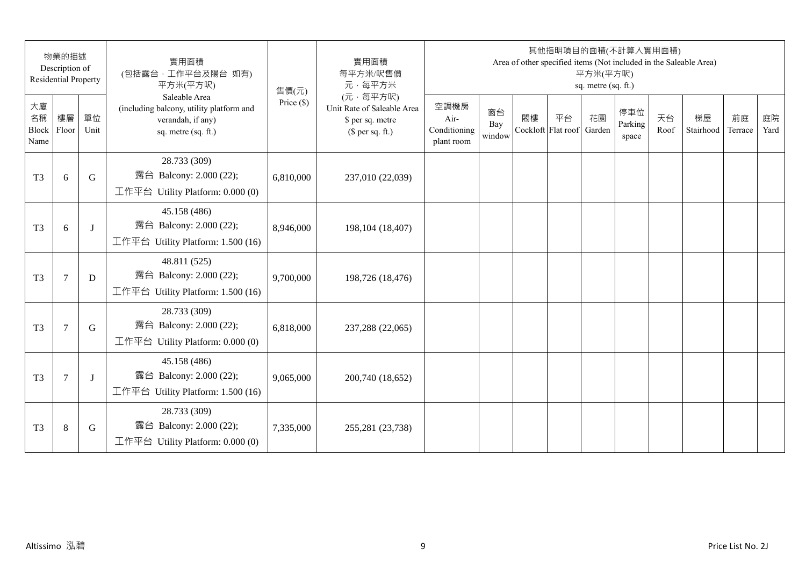|                                 | 物業的描述<br>Description of<br><b>Residential Property</b> |            | 實用面積<br>(包括露台, 工作平台及陽台 如有)<br>平方米(平方呎)                                                                | 售價(元)        | 實用面積<br>每平方米/呎售價<br>元·每平方米                                                     |                                            |                     |                          | 其他指明項目的面積(不計算入實用面積) | 平方米(平方呎)<br>sq. metre (sq. ft.) |                         |            | Area of other specified items (Not included in the Saleable Area) |               |            |
|---------------------------------|--------------------------------------------------------|------------|-------------------------------------------------------------------------------------------------------|--------------|--------------------------------------------------------------------------------|--------------------------------------------|---------------------|--------------------------|---------------------|---------------------------------|-------------------------|------------|-------------------------------------------------------------------|---------------|------------|
| 大廈<br>名稱<br>Block Floor<br>Name | 樓層                                                     | 單位<br>Unit | Saleable Area<br>(including balcony, utility platform and<br>verandah, if any)<br>sq. metre (sq. ft.) | Price $(\$)$ | (元·每平方呎)<br>Unit Rate of Saleable Area<br>\$ per sq. metre<br>$$$ per sq. ft.) | 空調機房<br>Air-<br>Conditioning<br>plant room | 窗台<br>Bay<br>window | 閣樓<br>Cockloft Flat roof | 平台                  | 花園<br>Garden                    | 停車位<br>Parking<br>space | 天台<br>Roof | 梯屋<br>Stairhood                                                   | 前庭<br>Terrace | 庭院<br>Yard |
| T <sub>3</sub>                  | 6                                                      | G          | 28.733 (309)<br>露台 Balcony: 2.000 (22);<br>工作平台 Utility Platform: 0.000 (0)                           | 6,810,000    | 237,010 (22,039)                                                               |                                            |                     |                          |                     |                                 |                         |            |                                                                   |               |            |
| T <sub>3</sub>                  | 6                                                      | $\bf{J}$   | 45.158 (486)<br>露台 Balcony: 2.000 (22);<br>工作平台 Utility Platform: 1.500 (16)                          | 8,946,000    | 198, 104 (18, 407)                                                             |                                            |                     |                          |                     |                                 |                         |            |                                                                   |               |            |
| T <sub>3</sub>                  | $\tau$                                                 | D          | 48.811 (525)<br>露台 Balcony: 2.000 (22);<br>工作平台 Utility Platform: 1.500 (16)                          | 9,700,000    | 198,726 (18,476)                                                               |                                            |                     |                          |                     |                                 |                         |            |                                                                   |               |            |
| T <sub>3</sub>                  | $\overline{7}$                                         | G          | 28.733 (309)<br>露台 Balcony: 2.000 (22);<br>工作平台 Utility Platform: 0.000 (0)                           | 6,818,000    | 237,288 (22,065)                                                               |                                            |                     |                          |                     |                                 |                         |            |                                                                   |               |            |
| T <sub>3</sub>                  | 7                                                      | J          | 45.158 (486)<br>露台 Balcony: 2.000 (22);<br>工作平台 Utility Platform: 1.500 (16)                          | 9,065,000    | 200,740 (18,652)                                                               |                                            |                     |                          |                     |                                 |                         |            |                                                                   |               |            |
| T <sub>3</sub>                  | $\,8\,$                                                | G          | 28.733 (309)<br>露台 Balcony: 2.000 (22);<br>工作平台 Utility Platform: 0.000 (0)                           | 7,335,000    | 255,281 (23,738)                                                               |                                            |                     |                          |                     |                                 |                         |            |                                                                   |               |            |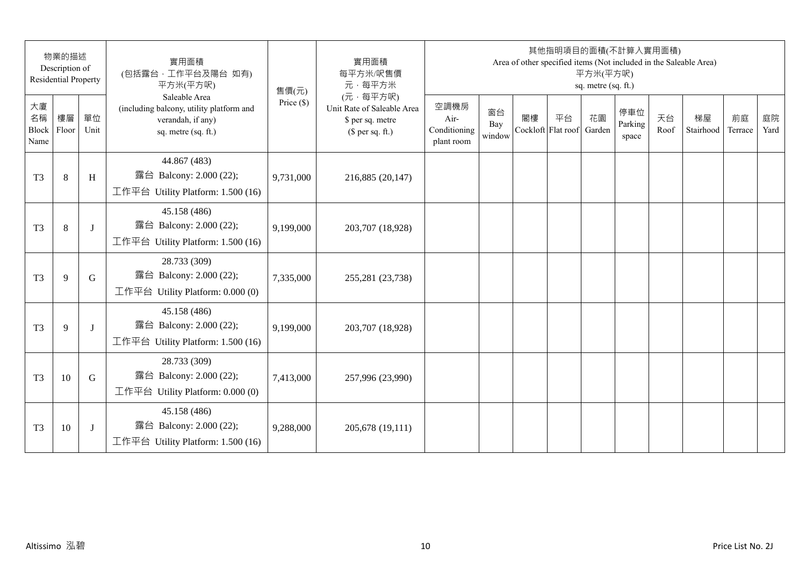|                           | 物業的描述<br>Description of<br><b>Residential Property</b> |            | 實用面積<br>(包括露台,工作平台及陽台 如有)<br>平方米(平方呎)                                                                 | 售價(元)        | 實用面積<br>每平方米/呎售價<br>元·每平方米                                                     |                                            |                     |    | 其他指明項目的面積(不計算入實用面積)      | 平方米(平方呎)<br>sq. metre (sq. ft.) |                         |            | Area of other specified items (Not included in the Saleable Area) |               |            |
|---------------------------|--------------------------------------------------------|------------|-------------------------------------------------------------------------------------------------------|--------------|--------------------------------------------------------------------------------|--------------------------------------------|---------------------|----|--------------------------|---------------------------------|-------------------------|------------|-------------------------------------------------------------------|---------------|------------|
| 大廈<br>名稱<br>Block<br>Name | 樓層<br>Floor                                            | 單位<br>Unit | Saleable Area<br>(including balcony, utility platform and<br>verandah, if any)<br>sq. metre (sq. ft.) | Price $(\$)$ | (元·每平方呎)<br>Unit Rate of Saleable Area<br>\$ per sq. metre<br>$$$ per sq. ft.) | 空調機房<br>Air-<br>Conditioning<br>plant room | 窗台<br>Bay<br>window | 閣樓 | 平台<br>Cockloft Flat roof | 花園<br>Garden                    | 停車位<br>Parking<br>space | 天台<br>Roof | 梯屋<br>Stairhood                                                   | 前庭<br>Terrace | 庭院<br>Yard |
| T <sub>3</sub>            | $8\,$                                                  | H          | 44.867 (483)<br>露台 Balcony: 2.000 (22);<br>工作平台 Utility Platform: 1.500 (16)                          | 9,731,000    | 216,885 (20,147)                                                               |                                            |                     |    |                          |                                 |                         |            |                                                                   |               |            |
| T <sub>3</sub>            | 8                                                      | J          | 45.158 (486)<br>露台 Balcony: 2.000 (22);<br>工作平台 Utility Platform: 1.500 (16)                          | 9,199,000    | 203,707 (18,928)                                                               |                                            |                     |    |                          |                                 |                         |            |                                                                   |               |            |
| T <sub>3</sub>            | 9                                                      | G          | 28.733 (309)<br>露台 Balcony: 2.000 (22);<br>工作平台 Utility Platform: 0.000 (0)                           | 7,335,000    | 255,281 (23,738)                                                               |                                            |                     |    |                          |                                 |                         |            |                                                                   |               |            |
| T <sub>3</sub>            | 9                                                      | J          | 45.158 (486)<br>露台 Balcony: 2.000 (22);<br>工作平台 Utility Platform: 1.500 (16)                          | 9,199,000    | 203,707 (18,928)                                                               |                                            |                     |    |                          |                                 |                         |            |                                                                   |               |            |
| T <sub>3</sub>            | 10                                                     | G          | 28.733 (309)<br>露台 Balcony: 2.000 (22);<br>工作平台 Utility Platform: $0.000(0)$                          | 7,413,000    | 257,996 (23,990)                                                               |                                            |                     |    |                          |                                 |                         |            |                                                                   |               |            |
| T <sub>3</sub>            | 10                                                     | J          | 45.158 (486)<br>露台 Balcony: 2.000 (22);<br>工作平台 Utility Platform: 1.500 (16)                          | 9,288,000    | 205,678 (19,111)                                                               |                                            |                     |    |                          |                                 |                         |            |                                                                   |               |            |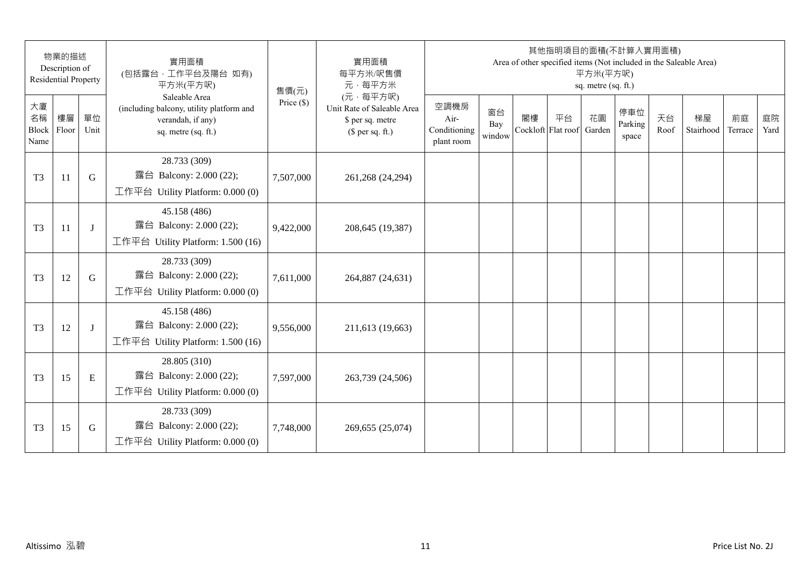| 物業的描述<br>Description of<br><b>Residential Property</b> |    |            | 實用面積<br>(包括露台, 工作平台及陽台 如有)<br>平方米(平方呎)                                                                | 實用面積<br>售價(元) | 每平方米/呎售價<br>元·每平方米                                                             | 其他指明項目的面積(不計算入實用面積)<br>Area of other specified items (Not included in the Saleable Area)<br>平方米(平方呎)<br>sq. metre (sq. ft.) |                     |                          |    |              |                         |            |                 |               |            |
|--------------------------------------------------------|----|------------|-------------------------------------------------------------------------------------------------------|---------------|--------------------------------------------------------------------------------|-----------------------------------------------------------------------------------------------------------------------------|---------------------|--------------------------|----|--------------|-------------------------|------------|-----------------|---------------|------------|
| 大廈<br>名稱<br>Block Floor<br>Name                        | 樓層 | 單位<br>Unit | Saleable Area<br>(including balcony, utility platform and<br>verandah, if any)<br>sq. metre (sq. ft.) | Price $(\$)$  | (元·每平方呎)<br>Unit Rate of Saleable Area<br>\$ per sq. metre<br>$$$ per sq. ft.) | 空調機房<br>Air-<br>Conditioning<br>plant room                                                                                  | 窗台<br>Bay<br>window | 閣樓<br>Cockloft Flat roof | 平台 | 花園<br>Garden | 停車位<br>Parking<br>space | 天台<br>Roof | 梯屋<br>Stairhood | 前庭<br>Terrace | 庭院<br>Yard |
| T <sub>3</sub>                                         | 11 | G          | 28.733 (309)<br>露台 Balcony: 2.000 (22);<br>工作平台 Utility Platform: 0.000 (0)                           | 7,507,000     | 261,268 (24,294)                                                               |                                                                                                                             |                     |                          |    |              |                         |            |                 |               |            |
| T <sub>3</sub>                                         | 11 | J          | 45.158 (486)<br>露台 Balcony: 2.000 (22);<br>工作平台 Utility Platform: 1.500 (16)                          | 9,422,000     | 208,645 (19,387)                                                               |                                                                                                                             |                     |                          |    |              |                         |            |                 |               |            |
| T <sub>3</sub>                                         | 12 | G          | 28.733 (309)<br>露台 Balcony: 2.000 (22);<br>工作平台 Utility Platform: $0.000(0)$                          | 7,611,000     | 264,887 (24,631)                                                               |                                                                                                                             |                     |                          |    |              |                         |            |                 |               |            |
| T <sub>3</sub>                                         | 12 | J          | 45.158 (486)<br>露台 Balcony: 2.000 (22);<br>工作平台 Utility Platform: 1.500 (16)                          | 9,556,000     | 211,613 (19,663)                                                               |                                                                                                                             |                     |                          |    |              |                         |            |                 |               |            |
| T <sub>3</sub>                                         | 15 | E          | 28.805 (310)<br>露台 Balcony: 2.000 (22);<br>工作平台 Utility Platform: $0.000(0)$                          | 7,597,000     | 263,739 (24,506)                                                               |                                                                                                                             |                     |                          |    |              |                         |            |                 |               |            |
| T <sub>3</sub>                                         | 15 | G          | 28.733 (309)<br>露台 Balcony: 2.000 (22);<br>工作平台 Utility Platform: 0.000 (0)                           | 7,748,000     | 269,655 (25,074)                                                               |                                                                                                                             |                     |                          |    |              |                         |            |                 |               |            |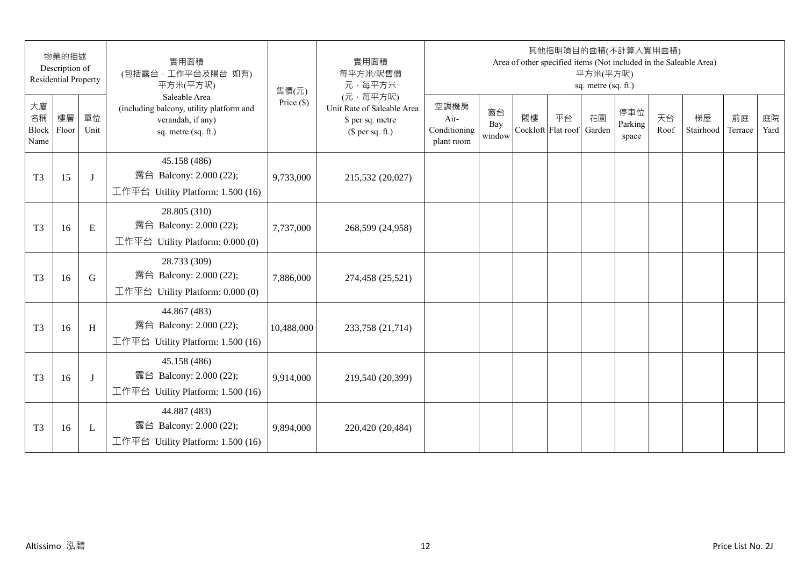| 物業的描述<br>Description of<br><b>Residential Property</b> |             |            | 實用面積<br>(包括露台,工作平台及陽台 如有)<br>平方米(平方呎)                                                                 | 售價(元)        | 實用面積<br>每平方米/呎售價<br>元·每平方米                                                     | 其他指明項目的面積(不計算入實用面積)<br>Area of other specified items (Not included in the Saleable Area)<br>平方米(平方呎)<br>sq. metre (sq. ft.) |                     |    |                          |              |                         |            |                 |               |            |
|--------------------------------------------------------|-------------|------------|-------------------------------------------------------------------------------------------------------|--------------|--------------------------------------------------------------------------------|-----------------------------------------------------------------------------------------------------------------------------|---------------------|----|--------------------------|--------------|-------------------------|------------|-----------------|---------------|------------|
| 大廈<br>名稱<br>Block<br>Name                              | 樓層<br>Floor | 單位<br>Unit | Saleable Area<br>(including balcony, utility platform and<br>verandah, if any)<br>sq. metre (sq. ft.) | Price $(\$)$ | (元·每平方呎)<br>Unit Rate of Saleable Area<br>\$ per sq. metre<br>$$$ per sq. ft.) | 空調機房<br>Air-<br>Conditioning<br>plant room                                                                                  | 窗台<br>Bay<br>window | 閣樓 | 平台<br>Cockloft Flat roof | 花園<br>Garden | 停車位<br>Parking<br>space | 天台<br>Roof | 梯屋<br>Stairhood | 前庭<br>Terrace | 庭院<br>Yard |
| T <sub>3</sub>                                         | 15          | J          | 45.158 (486)<br>露台 Balcony: 2.000 (22);<br>工作平台 Utility Platform: 1.500 (16)                          | 9,733,000    | 215,532 (20,027)                                                               |                                                                                                                             |                     |    |                          |              |                         |            |                 |               |            |
| T <sub>3</sub>                                         | 16          | ${\bf E}$  | 28.805 (310)<br>露台 Balcony: 2.000 (22);<br>工作平台 Utility Platform: 0.000 (0)                           | 7,737,000    | 268,599 (24,958)                                                               |                                                                                                                             |                     |    |                          |              |                         |            |                 |               |            |
| T <sub>3</sub>                                         | 16          | G          | 28.733 (309)<br>露台 Balcony: 2.000 (22);<br>工作平台 Utility Platform: 0.000 (0)                           | 7,886,000    | 274,458 (25,521)                                                               |                                                                                                                             |                     |    |                          |              |                         |            |                 |               |            |
| T <sub>3</sub>                                         | 16          | H          | 44.867 (483)<br>露台 Balcony: 2.000 (22);<br>工作平台 Utility Platform: 1.500 (16)                          | 10,488,000   | 233,758 (21,714)                                                               |                                                                                                                             |                     |    |                          |              |                         |            |                 |               |            |
| T <sub>3</sub>                                         | 16          | J          | 45.158 (486)<br>露台 Balcony: 2.000 (22);<br>工作平台 Utility Platform: 1.500 (16)                          | 9,914,000    | 219,540 (20,399)                                                               |                                                                                                                             |                     |    |                          |              |                         |            |                 |               |            |
| T <sub>3</sub>                                         | 16          | L          | 44.887 (483)<br>露台 Balcony: 2.000 (22);<br>工作平台 Utility Platform: 1.500 (16)                          | 9,894,000    | 220,420 (20,484)                                                               |                                                                                                                             |                     |    |                          |              |                         |            |                 |               |            |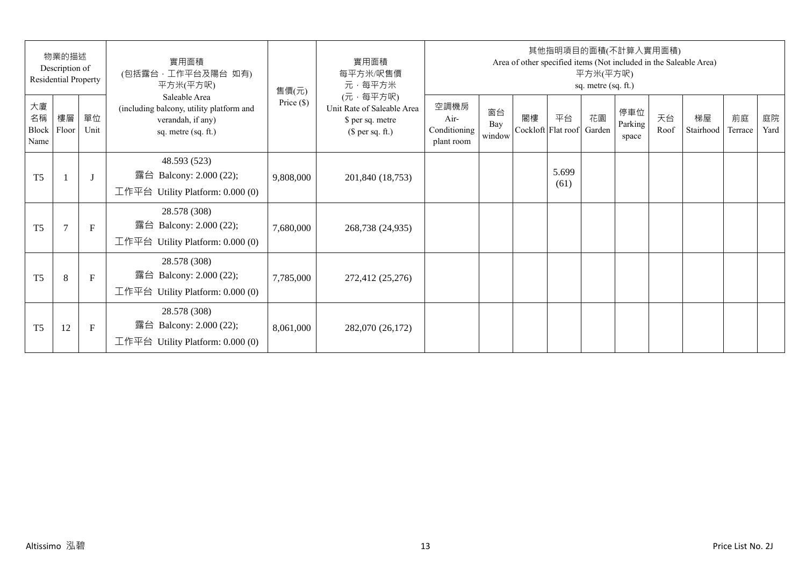| 物業的描述<br>Description of<br>Residential Property |                |              | 實用面積<br>(包括露台,工作平台及陽台 如有)<br>平方米(平方呎)                                                                 | 售價(元)        | 實用面積<br>每平方米/呎售價<br>元·每平方米                                                     | 其他指明項目的面積(不計算入實用面積)<br>Area of other specified items (Not included in the Saleable Area)<br>平方米(平方呎)<br>sq. metre (sq. ft.) |                     |    |                          |              |                         |            |                 |               |            |
|-------------------------------------------------|----------------|--------------|-------------------------------------------------------------------------------------------------------|--------------|--------------------------------------------------------------------------------|-----------------------------------------------------------------------------------------------------------------------------|---------------------|----|--------------------------|--------------|-------------------------|------------|-----------------|---------------|------------|
| 大廈<br>名稱<br>Block<br>Name                       | 樓層<br>Floor    | 單位<br>Unit   | Saleable Area<br>(including balcony, utility platform and<br>verandah, if any)<br>sq. metre (sq. ft.) | Price $(\$)$ | (元·每平方呎)<br>Unit Rate of Saleable Area<br>\$ per sq. metre<br>$$$ per sq. ft.) | 空調機房<br>$Air-$<br>Conditioning<br>plant room                                                                                | 窗台<br>Bay<br>window | 閣樓 | 平台<br>Cockloft Flat roof | 花園<br>Garden | 停車位<br>Parking<br>space | 天台<br>Roof | 梯屋<br>Stairhood | 前庭<br>Terrace | 庭院<br>Yard |
| T <sub>5</sub>                                  |                | $\mathbf{J}$ | 48.593 (523)<br>露台 Balcony: 2.000 (22);<br>工作平台 Utility Platform: 0.000 (0)                           | 9,808,000    | 201,840 (18,753)                                                               |                                                                                                                             |                     |    | 5.699<br>(61)            |              |                         |            |                 |               |            |
| T <sub>5</sub>                                  | $\overline{7}$ | $\mathbf{F}$ | 28.578 (308)<br>露台 Balcony: 2.000 (22);<br>工作平台 Utility Platform: $0.000(0)$                          | 7,680,000    | 268,738 (24,935)                                                               |                                                                                                                             |                     |    |                          |              |                         |            |                 |               |            |
| T <sub>5</sub>                                  | 8              | $\mathbf{F}$ | 28.578 (308)<br>露台 Balcony: 2.000 (22);<br>工作平台 Utility Platform: $0.000(0)$                          | 7,785,000    | 272,412 (25,276)                                                               |                                                                                                                             |                     |    |                          |              |                         |            |                 |               |            |
| T <sub>5</sub>                                  | 12             | F            | 28.578 (308)<br>Balcony: 2.000 (22);<br>露台<br>工作平台 Utility Platform: $0.000(0)$                       | 8,061,000    | 282,070 (26,172)                                                               |                                                                                                                             |                     |    |                          |              |                         |            |                 |               |            |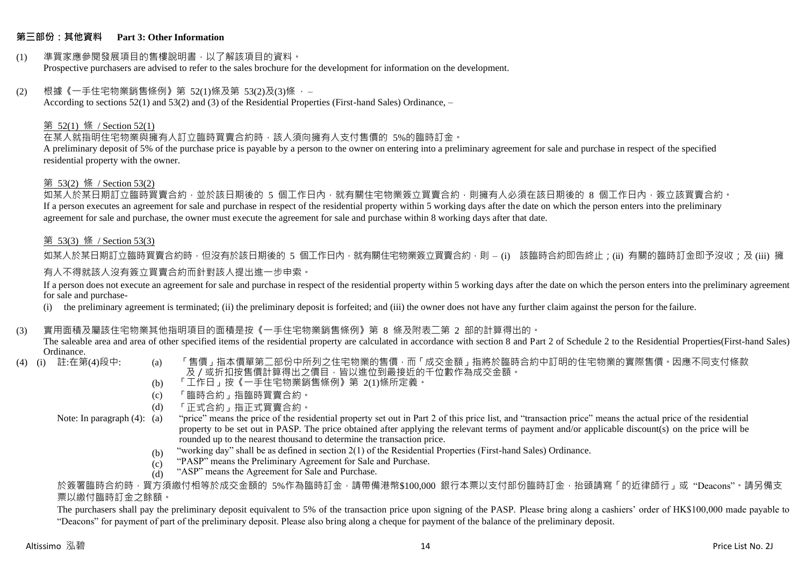# **第三部份:其他資料 Part 3: Other Information**

#### (1) 準買家應參閱發展項目的售樓說明書,以了解該項目的資料。 Prospective purchasers are advised to refer to the sales brochure for the development for information on the development.

# $(2)$  根據《一手住宅物業銷售條例》第 52(1)條及第 53(2)及(3)條,

According to sections 52(1) and 53(2) and (3) of the Residential Properties (First-hand Sales) Ordinance, –

# 第 52(1) 條 / Section 52(1)

在某人就指明住宅物業與擁有人訂立臨時買賣合約時,該人須向擁有人支付售價的 5%的臨時訂金。

A preliminary deposit of 5% of the purchase price is payable by a person to the owner on entering into a preliminary agreement for sale and purchase in respect of the specified residential property with the owner.

### 第 53(2) 條 / Section 53(2)

如某人於某日期訂立臨時買賣合約,並於該日期後的 5 個工作日內,就有關住宅物業簽立買賣合約,則擁有人必須在該日期後的 8 個工作日內,簽立該買賣合約。 If a person executes an agreement for sale and purchase in respect of the residential property within 5 working days after the date on which the person enters into the preliminary agreement for sale and purchase, the owner must execute the agreement for sale and purchase within 8 working days after that date.

# 第 53(3) 條 / Section 53(3)

如某人於某日期訂立臨時買賣合約時,但沒有於該日期後的 5 個工作日內,就有關住宅物業簽立買賣合約,則 – (i) 該臨時合約即告終止;(ii) 有關的臨時訂金即予沒收;及 (iii) 擁 有人不得就該人沒有簽立買賣合約而針對該人提出進一步申索。

If a person does not execute an agreement for sale and purchase in respect of the residential property within 5 working days after the date on which the person enters into the preliminary agreement for sale and purchase-

(i) the preliminary agreement is terminated; (ii) the preliminary deposit is forfeited; and (iii) the owner does not have any further claim against the person for the failure.

### (3) 實用面積及屬該住宅物業其他指明項目的面積是按《一手住宅物業銷售條例》第 8 條及附表二第 2 部的計算得出的。

The saleable area and area of other specified items of the residential property are calculated in accordance with section 8 and Part 2 of Schedule 2 to the Residential Properties(First-hand Sales) Ordinance.<br>(4) (i) 註:在第(4)段中:

- 
- (a) 「售價」指本價單第二部份中所列之住宅物業的售價,而「成交金額」指將於臨時合約中訂明的住宅物業的實際售價。因應不同支付條款 及/或折扣按售價計算得出之價目,皆以進位到最接近的千位數作為成交金額。
- (b) 「工作日」按《一手住宅物業銷售條例》第 2(1)條所定義。
- (c) 「臨時合約」指臨時買賣合約。
- (d) 「正式合約」指正式買賣合約。
- Note: In paragraph (4): (a)
- "price" means the price of the residential property set out in Part 2 of this price list, and "transaction price" means the actual price of the residential property to be set out in PASP. The price obtained after applying the relevant terms of payment and/or applicable discount(s) on the price will be rounded up to the nearest thousand to determine the transaction price.
	- (b) "working day" shall be as defined in section 2(1) of the Residential Properties (First-hand Sales) Ordinance.
	- (c) "PASP" means the Preliminary Agreement for Sale and Purchase.
	- (d) "ASP" means the Agreement for Sale and Purchase.

於簽署臨時合約時,買方須繳付相等於成交金額的 5%作為臨時訂金,請帶備港幣\$100,000 銀行本票以支付部份臨時訂金,抬頭請寫「的近律師行」或"Deacons"。請另備支 票以繳付臨時訂金之餘額。

The purchasers shall pay the preliminary deposit equivalent to 5% of the transaction price upon signing of the PASP. Please bring along a cashiers' order of HK\$100,000 made payable to "Deacons" for payment of part of the preliminary deposit. Please also bring along a cheque for payment of the balance of the preliminary deposit.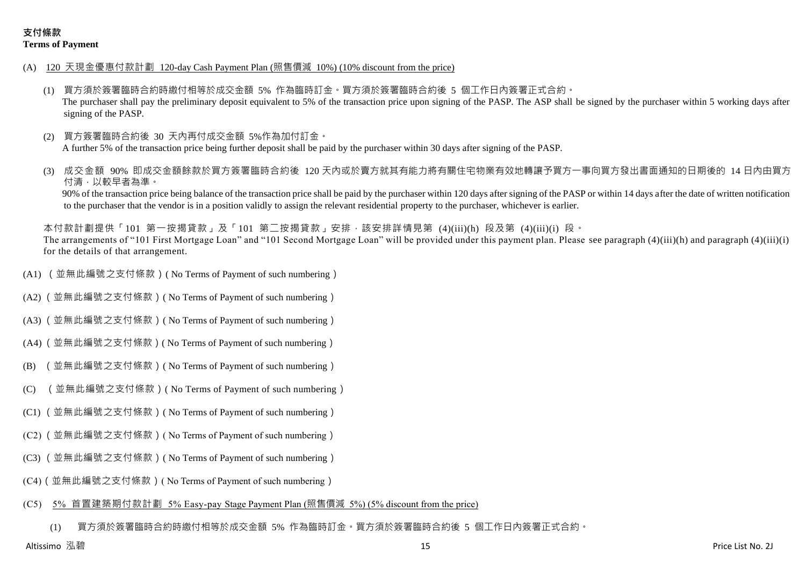- (A) 120 天現金優惠付款計劃 120-day Cash Payment Plan (照售價減 10%) (10% discount from the price)
	- (1) 買方須於簽署臨時合約時繳付相等於成交金額 5% 作為臨時訂金。買方須於簽署臨時合約後 5 個工作日內簽署正式合約。 The purchaser shall pay the preliminary deposit equivalent to 5% of the transaction price upon signing of the PASP. The ASP shall be signed by the purchaser within 5 working days after signing of the PASP.
	- (2) 買方簽署臨時合約後 30 天內再付成交金額 5%作為加付訂金。 A further 5% of the transaction price being further deposit shall be paid by the purchaser within 30 days after signing of the PASP.
	- 成交金額 90% 即成交金額餘款於買方簽署臨時合約後 120 天内或於賣方就其有能力將有關住宅物業有效地轉讓予買方一事向買方發出書面通知的日期後的 14 日內由買方 付清,以較早者為準。

90% of the transaction price being balance of the transaction price shall be paid by the purchaser within 120 days after signing of the PASP or within 14 days after the date of written notification to the purchaser that the vendor is in a position validly to assign the relevant residential property to the purchaser, whichever is earlier.

本付款計劃提供「101 第一按揭貸款」及「101 第二按揭貸款」安排,該安排詳情見第 (4)(iii)(h) 段及第 (4)(iii)(i) 段。 The arrangements of "101 First Mortgage Loan" and "101 Second Mortgage Loan" will be provided under this payment plan. Please see paragraph (4)(iii)(h) and paragraph (4)(iii)(i) for the details of that arrangement.

- (A1) (並無此編號之支付條款)( No Terms of Payment of such numbering)
- (A2) (並無此編號之支付條款)( No Terms of Payment of such numbering)
- (A3) (並無此編號之支付條款)( No Terms of Payment of such numbering)
- (A4) (並無此編號之支付條款)( No Terms of Payment of such numbering)
- (B) (並無此編號之支付條款)( No Terms of Payment of such numbering)
- (C) (並無此編號之支付條款)( No Terms of Payment of such numbering)
- (C1) (並無此編號之支付條款)( No Terms of Payment of such numbering)
- (C2) (並無此編號之支付條款)( No Terms of Payment of such numbering)
- (C3) (並無此編號之支付條款)( No Terms of Payment of such numbering)
- (C4)(並無此編號之支付條款)( No Terms of Payment of such numbering)

#### (C5) 5% 首置建築期付款計劃 5% Easy-pay Stage Payment Plan (照售價減 5%) (5% discount from the price)

(1) 買方須於簽署臨時合約時繳付相等於成交金額 5% 作為臨時訂金。買方須於簽署臨時合約後 5 個工作日內簽署正式合約。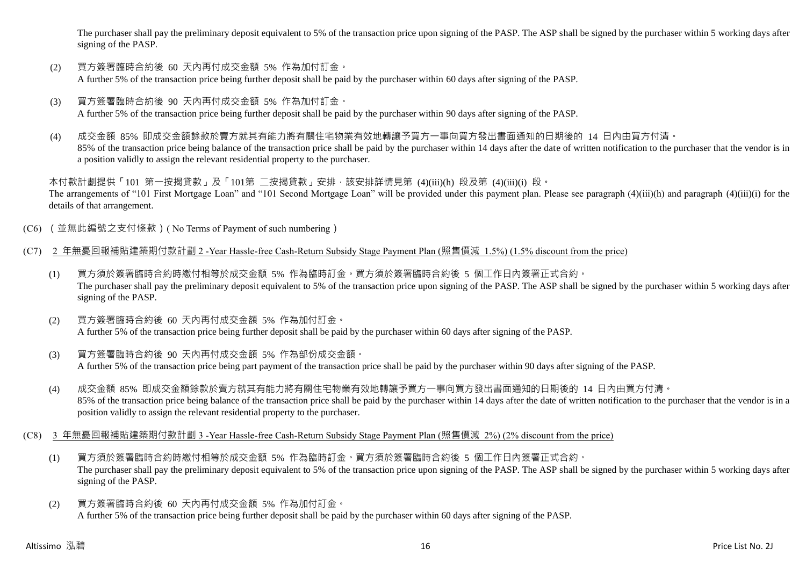The purchaser shall pay the preliminary deposit equivalent to 5% of the transaction price upon signing of the PASP. The ASP shall be signed by the purchaser within 5 working days after signing of the PASP.

- (2) 買方簽署臨時合約後 60 天內再付成交金額 5% 作為加付訂金。 A further 5% of the transaction price being further deposit shall be paid by the purchaser within 60 days after signing of the PASP.
- (3) 買方簽署臨時合約後 90 天內再付成交金額 5% 作為加付訂金。 A further 5% of the transaction price being further deposit shall be paid by the purchaser within 90 days after signing of the PASP.
- (4) 成交金額 85% 即成交金額餘款於賣方就其有能力將有關住宅物業有效地轉讓予買方一事向買方發出書面通知的日期後的 14 日內由買方付清。 85% of the transaction price being balance of the transaction price shall be paid by the purchaser within 14 days after the date of written notification to the purchaser that the vendor is in a position validly to assign the relevant residential property to the purchaser.

本付款計劃提供「101 第一按揭貸款」及「101第 二按揭貸款」安排,該安排詳情見第 (4)(iii)(h) 段及第 (4)(iii)(i) 段。 The arrangements of "101 First Mortgage Loan" and "101 Second Mortgage Loan" will be provided under this payment plan. Please see paragraph (4)(iii)(h) and paragraph (4)(iii)(i) for the details of that arrangement.

- (C6) (並無此編號之支付條款)( No Terms of Payment of such numbering)
- (C7) 2 年無憂回報補貼建築期付款計劃 2 -Year Hassle-free Cash-Return Subsidy Stage Payment Plan (照售價減 1.5%) (1.5% discount from the price)
	- (1) 買方須於簽署臨時合約時繳付相等於成交金額 5% 作為臨時訂金。買方須於簽署臨時合約後 5 個工作日內簽署正式合約。 The purchaser shall pay the preliminary deposit equivalent to 5% of the transaction price upon signing of the PASP. The ASP shall be signed by the purchaser within 5 working days after signing of the PASP.
	- (2) 買方簽署臨時合約後 60 天內再付成交金額 5% 作為加付訂金。 A further 5% of the transaction price being further deposit shall be paid by the purchaser within 60 days after signing of the PASP.
	- (3) 買方簽署臨時合約後 90 天內再付成交金額 5% 作為部份成交金額。 A further 5% of the transaction price being part payment of the transaction price shall be paid by the purchaser within 90 days after signing of the PASP.
	- (4) 成交金額 85% 即成交金額餘款於賣方就其有能力將有關住宅物業有效地轉讓予買方一事向買方發出書面通知的日期後的 14 日內由買方付清。 85% of the transaction price being balance of the transaction price shall be paid by the purchaser within 14 days after the date of written notification to the purchaser that the vendor is in a position validly to assign the relevant residential property to the purchaser.
- (C8) 3 年無憂回報補貼建築期付款計劃 3 -Year Hassle-free Cash-Return Subsidy Stage Payment Plan (照售價減 2%) (2% discount from the price)
	- (1) 買方須於簽署臨時合約時繳付相等於成交金額 5% 作為臨時訂金。買方須於簽署臨時合約後 5 個工作日內簽署正式合約。 The purchaser shall pay the preliminary deposit equivalent to 5% of the transaction price upon signing of the PASP. The ASP shall be signed by the purchaser within 5 working days after signing of the PASP.
	- (2) 買方簽署臨時合約後 60 天內再付成交金額 5% 作為加付訂金。 A further 5% of the transaction price being further deposit shall be paid by the purchaser within 60 days after signing of the PASP.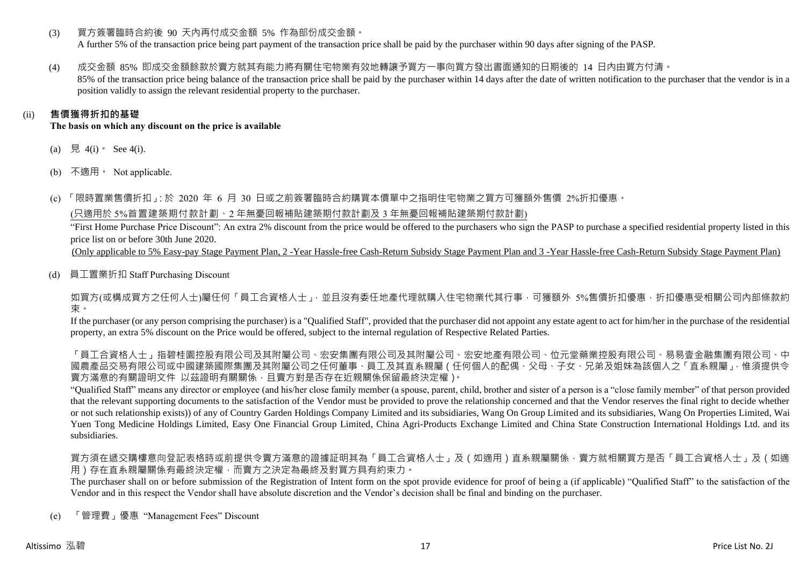(3) 買方簽署臨時合約後 90 天內再付成交金額 5% 作為部份成交金額。

A further 5% of the transaction price being part payment of the transaction price shall be paid by the purchaser within 90 days after signing of the PASP.

(4) 成交金額 85% 即成交金額餘款於賣方就其有能力將有關住宅物業有效地轉讓予買方一事向買方發出書面通知的日期後的 14 日內由買方付清。 85% of the transaction price being balance of the transaction price shall be paid by the purchaser within 14 days after the date of written notification to the purchaser that the vendor is in a position validly to assign the relevant residential property to the purchaser.

# (ii) **售價獲得折扣的基礎**

**The basis on which any discount on the price is available**

- (a) 見 4(i)  $\text{See } 4(i)$ .
- (b) 不適用。 Not applicable.

(c) 「限時置業售價折扣」:於 2020 年 6 月 30 日或之前簽署臨時合約購買本價單中之指明住宅物業之買方可獲額外售價 2%折扣優惠。

(只適用於 5%首置建築期付款計劃、2 年無憂回報補貼建築期付款計劃及 3 年無憂回報補貼建築期付款計劃)

"First Home Purchase Price Discount": An extra 2% discount from the price would be offered to the purchasers who sign the PASP to purchase a specified residential property listed in this price list on or before 30th June 2020.

(Only applicable to 5% Easy-pay Stage Payment Plan, 2 -Year Hassle-free Cash-Return Subsidy Stage Payment Plan and 3 -Year Hassle-free Cash-Return Subsidy Stage Payment Plan)

(d) 員工置業折扣 Staff Purchasing Discount

如買方(或構成買方之任何人士)屬任何「員工合資格人士」,並且沒有委任地產代理就購入住宅物業代其行事,可獲額外 5%售價折扣優惠,折扣優惠受相關公司內部條款約 束。

If the purchaser (or any person comprising the purchaser) is a "Qualified Staff", provided that the purchaser did not appoint any estate agent to act for him/her in the purchase of the residential property, an extra 5% discount on the Price would be offered, subject to the internal regulation of Respective Related Parties.

「員工合資格人士」再提起的要点,我與自己的需求的工作。「我們的工作」,「我們的工作,在中央的工作,在日本學院的人」,「我們在我們的人」。「中 國農產品交易有限公司或中國建築國際集團及其附屬公司之任何董事、員工及其直系親屬(任何個人的配偶、父母、子女、兄弟及姐妹為該個人之「直系親屬」,惟須提供令 賣方滿意的有關證明文件 以茲證明有關關係,且賣方對是否存在近親關係保留最終決定權)。

"Qualified Staff" means any director or employee (and his/her close family member (a spouse, parent, child, brother and sister of a person is a "close family member" of that person provided that the relevant supporting documents to the satisfaction of the Vendor must be provided to prove the relationship concerned and that the Vendor reserves the final right to decide whether or not such relationship exists)) of any of Country Garden Holdings Company Limited and its subsidiaries, Wang On Group Limited and its subsidiaries, Wang On Properties Limited, Wai Yuen Tong Medicine Holdings Limited, Easy One Financial Group Limited, China Agri-Products Exchange Limited and China State Construction International Holdings Ltd. and its subsidiaries.

買方須在遞交購樓意向登記表格時或前提供令賣方滿意的證據証明其為「員工合資格人士」及(如適用)直系親屬關係,賣方就相關買方是否「員工合資格人士」及(如適 用)存在直系親屬關係有最終決定權,而賣方之決定為最終及對買方具有約束力。

The purchaser shall on or before submission of the Registration of Intent form on the spot provide evidence for proof of being a (if applicable) "Qualified Staff" to the satisfaction of the Vendor and in this respect the Vendor shall have absolute discretion and the Vendor's decision shall be final and binding on the purchaser.

(e) 「管理費」優惠 "Management Fees" Discount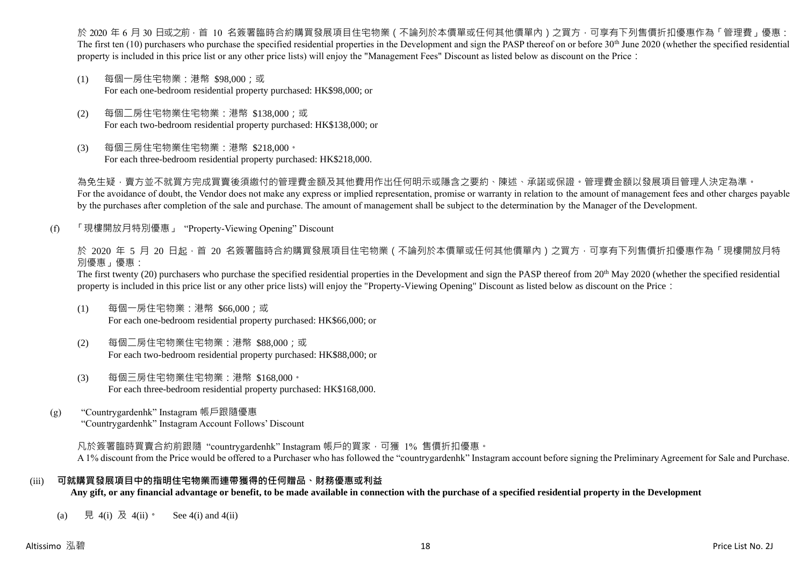於 2020 年 6 月 30 日或之前 · 首 10 名簽署臨時合約購買發展項目住宅物業(不論列於本價單或任何其他價單內)之買方 · 可享有下列售價折扣優惠作為「管理費」優惠: The first ten  $(10)$  purchasers who purchase the specified residential properties in the Development and sign the PASP thereof on or before 30<sup>th</sup> June 2020 (whether the specified residential property is included in this price list or any other price lists) will enjoy the "Management Fees" Discount as listed below as discount on the Price:

- (1) 每個一房住宅物業:港幣 \$98,000;或 For each one-bedroom residential property purchased: HK\$98,000; or
- (2) 每個二房住宅物業住宅物業:港幣 \$138,000;或 For each two-bedroom residential property purchased: HK\$138,000; or
- (3) 每個三房住宅物業住宅物業:港幣 \$218,000。 For each three-bedroom residential property purchased: HK\$218,000.

為免生疑,賣方並不就買方完成買賣後須繳付的管理費金額及其他費用作出任何明示或隱含之要約、陳述、承諾或保證。管理費金額以發展項目管理人決定為準。 For the avoidance of doubt, the Vendor does not make any express or implied representation, promise or warranty in relation to the amount of management fees and other charges payable by the purchases after completion of the sale and purchase. The amount of management shall be subject to the determination by the Manager of the Development.

(f) 「現樓開放月特別優惠」 "Property-Viewing Opening" Discount

於 2020 年 5 月 20 日起 ·首 20 名簽署臨時合約購買發展項目住宅物業 ( 不論列於本價單或任何其他價單內 ) 之買方 · 可享有下列售價折扣優惠作為「現樓開放月特 別優惠」優惠:

The first twenty (20) purchasers who purchase the specified residential properties in the Development and sign the PASP thereof from 20<sup>th</sup> May 2020 (whether the specified residential property is included in this price list or any other price lists) will enjoy the "Property-Viewing Opening" Discount as listed below as discount on the Price:

- (1) 每個一房住宅物業:港幣 \$66,000;或 For each one-bedroom residential property purchased: HK\$66,000; or
- (2) 每個二房住宅物業住宅物業:港幣 \$88,000;或 For each two-bedroom residential property purchased: HK\$88,000; or
- (3) 每個三房住宅物業住宅物業:港幣 \$168,000。 For each three-bedroom residential property purchased: HK\$168,000.
- (g) "Countrygardenhk" Instagram 帳戶跟隨優惠 "Countrygardenhk" Instagram Account Follows' Discount

凡於簽署臨時買賣合約前跟隨"countrygardenhk" Instagram 帳戶的買家,可獲 1% 售價折扣優惠。 A 1% discount from the Price would be offered to a Purchaser who has followed the "countrygardenhk" Instagram account before signing the Preliminary Agreement for Sale and Purchase.

### (iii) **可就購買發展項目中的指明住宅物業而連帶獲得的任何贈品、財務優惠或利益**

**Any gift, or any financial advantage or benefit, to be made available in connection with the purchase of a specified residential property in the Development**

(a) 見 4(i) 及 4(ii)。 See 4(i) and 4(ii)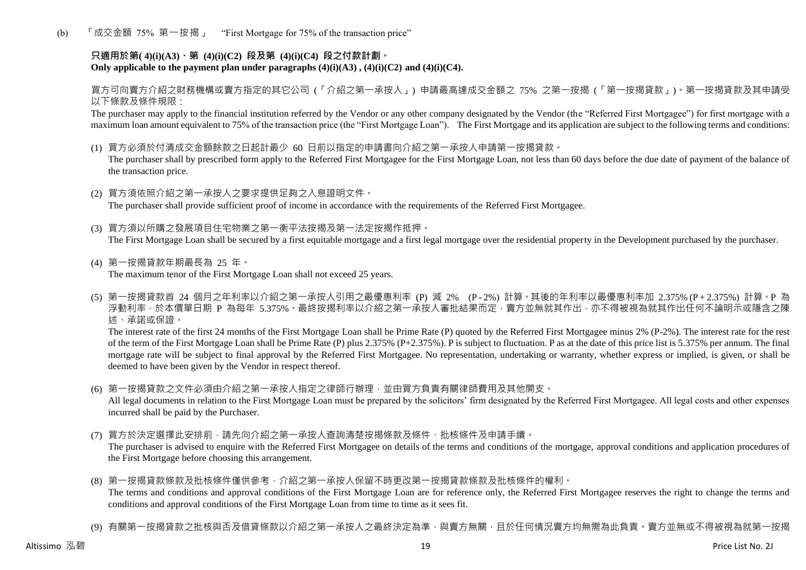(b) 「成交金額 75% 第一按揭」 "First Mortgage for 75% of the transaction price"

# **只適用於第( 4)(i)(A3)、第 (4)(i)(C2) 段及第 (4)(i)(C4) 段之付款計劃。** Only applicable to the payment plan under paragraphs  $(4)(i)(A3)$ ,  $(4)(i)(C2)$  and  $(4)(i)(C4)$ .

買方可向賣方介紹之財務機構或賣方指定的其它公司 (「介紹之第一承按人」) 申請最高達成交金額之 75% 之第一按揭 (「第一按揭貸款」)。第一按揭貸款及其申請受 以下條款及條件規限:

The purchaser may apply to the financial institution referred by the Vendor or any other company designated by the Vendor (the "Referred First Mortgagee") for first mortgage with a maximum loan amount equivalent to 75% of the transaction price (the "First Mortgage Loan"). The First Mortgage and its application are subject to the following terms and conditions:

(1) 買方必須於付清成交金額餘款之日起計最少 60 日前以指定的申請書向介紹之第一承按人申請第一按揭貸款。

The purchaser shall by prescribed form apply to the Referred First Mortgagee for the First Mortgage Loan, not less than 60 days before the due date of payment of the balance of the transaction price.

- (2) 買方須依照介紹之第一承按人之要求提供足夠之入息證明文件。 The purchaser shall provide sufficient proof of income in accordance with the requirements of the Referred First Mortgagee.
- (3) 買方須以所購之發展項目住宅物業之第一衡平法按揭及第一法定按揭作抵押。 The First Mortgage Loan shall be secured by a first equitable mortgage and a first legal mortgage over the residential property in the Development purchased by the purchaser.
- (4) 第一按揭貸款年期最長為 25 年。 The maximum tenor of the First Mortgage Loan shall not exceed 25 years.
- (5) 第一按揭貸款首 24 個月之年利率以介紹之第一承按人引用之最優惠利率 (P) 減 2% (P 2%) 計算。其後的年利率以最優惠利率加 2.375% (P + 2.375%) 計算。P 為 浮動利率,於本價單日期 P 為每年 5.375%。最終按揭利率以介紹之第一承按人審批結果而定,賣方並無就其作出,亦不得被視為就其作出任何不論明示或隱含之陳 述、承諾或保證。

The interest rate of the first 24 months of the First Mortgage Loan shall be Prime Rate (P) quoted by the Referred First Mortgagee minus 2% (P-2%). The interest rate for the rest of the term of the First Mortgage Loan shall be Prime Rate (P) plus 2.375% (P+2.375%). P is subject to fluctuation. P as at the date of this price list is 5.375% per annum. The final mortgage rate will be subject to final approval by the Referred First Mortgagee. No representation, undertaking or warranty, whether express or implied, is given, or shall be deemed to have been given by the Vendor in respect thereof.

(6) 第一按揭貸款之文件必須由介紹之第一承按人指定之律師行辦理,並由買方負責有關律師費用及其他開支。

All legal documents in relation to the First Mortgage Loan must be prepared by the solicitors' firm designated by the Referred First Mortgagee. All legal costs and other expenses incurred shall be paid by the Purchaser.

(7) 買方於決定選擇此安排前,請先向介紹之第一承按人查詢清楚按揭條款及條件、批核條件及申請手續。

The purchaser is advised to enquire with the Referred First Mortgagee on details of the terms and conditions of the mortgage, approval conditions and application procedures of the First Mortgage before choosing this arrangement.

- (8) 第一按揭貸款條款及批核條件僅供參考,介紹之第一承按人保留不時更改第一按揭貸款條款及批核條件的權利。 The terms and conditions and approval conditions of the First Mortgage Loan are for reference only, the Referred First Mortgagee reserves the right to change the terms and conditions and approval conditions of the First Mortgage Loan from time to time as it sees fit.
- (9) 有關第一按揭貸款之批核與否及借貸條款以介紹之第一承按人之最終決定為準,與賣方無關,目於任何情況賣方均無需為此負責。賣方並無或不得被視為就第一按揭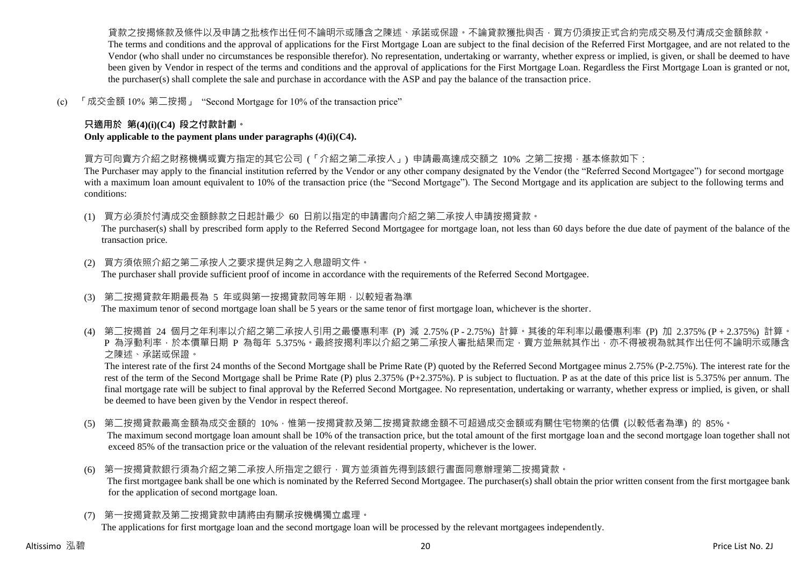貨款之按揭條款及條件以及申請之批核作出任何不論明示或隱含之陳述、承諾或保證。不論貸款獲批與否,買方仍須按正式合約完成交易及付清成交金額餘款。 The terms and conditions and the approval of applications for the First Mortgage Loan are subject to the final decision of the Referred First Mortgagee, and are not related to the Vendor (who shall under no circumstances be responsible therefor). No representation, undertaking or warranty, whether express or implied, is given, or shall be deemed to have been given by Vendor in respect of the terms and conditions and the approval of applications for the First Mortgage Loan. Regardless the First Mortgage Loan is granted or not, the purchaser(s) shall complete the sale and purchase in accordance with the ASP and pay the balance of the transaction price.

(c) 「成交金額 10% 第二按揭」 "Second Mortgage for 10% of the transaction price"

# **只適用於 第(4)(i)(C4) 段之付款計劃。**

**Only applicable to the payment plans under paragraphs (4)(i)(C4).**

買方可向賣方介紹之財務機構或賣方指定的其它公司 (「介紹之第二承按人」) 申請最高達成交額之 10% 之第二按揭,基本條款如下:

The Purchaser may apply to the financial institution referred by the Vendor or any other company designated by the Vendor (the "Referred Second Mortgagee") for second mortgage with a maximum loan amount equivalent to 10% of the transaction price (the "Second Mortgage"). The Second Mortgage and its application are subject to the following terms and conditions:

(1) 買方必須於付清成交金額餘款之日起計最少 60 日前以指定的申請書向介紹之第二承按人申請按揭貸款。

The purchaser(s) shall by prescribed form apply to the Referred Second Mortgagee for mortgage loan, not less than 60 days before the due date of payment of the balance of the transaction price.

- (2) 買方須依照介紹之第二承按人之要求提供足夠之入息證明文件。 The purchaser shall provide sufficient proof of income in accordance with the requirements of the Referred Second Mortgagee.
- (3) 第二按揭貸款年期最長為 5 年或與第一按揭貸款同等年期,以較短者為準 The maximum tenor of second mortgage loan shall be 5 years or the same tenor of first mortgage loan, whichever is the shorter.
- (4) 第二按揭首 24 個月之年利率以介紹之第二承按人引用之最優惠利率 (P) 減 2.75% (P 2.75%) 計算。其後的年利率以最優惠利率 (P) 加 2.375% (P + 2.375%) 計算。 P 為浮動利率,於本價單日期 P 為每年 5.375%。最終按揭利率以介紹之第二承按人審批結果而定,賣方並無就其作出,亦不得被視為就其作出任何不論明示或隱含 之陳述、承諾或保證。

The interest rate of the first 24 months of the Second Mortgage shall be Prime Rate (P) quoted by the Referred Second Mortgagee minus 2.75% (P-2.75%). The interest rate for the rest of the term of the Second Mortgage shall be Prime Rate (P) plus 2.375% (P+2.375%). P is subject to fluctuation. P as at the date of this price list is 5.375% per annum. The final mortgage rate will be subject to final approval by the Referred Second Mortgagee. No representation, undertaking or warranty, whether express or implied, is given, or shall be deemed to have been given by the Vendor in respect thereof.

- (5) 第二按揭貸款最高金額為成交金額的 10%,惟第一按揭貸款及第二按揭貸款總金額不可超過成交金額或有關住宅物業的估價 (以較低者為準) 的 85%。 The maximum second mortgage loan amount shall be 10% of the transaction price, but the total amount of the first mortgage loan and the second mortgage loan together shall not exceed 85% of the transaction price or the valuation of the relevant residential property, whichever is the lower.
- (6) 第一按揭貸款銀行須為介紹之第二承按人所指定之銀行,買方並須首先得到該銀行書面同意辦理第二按揭貸款。 The first mortgagee bank shall be one which is nominated by the Referred Second Mortgagee. The purchaser(s) shall obtain the prior written consent from the first mortgagee bank for the application of second mortgage loan.
- (7) 第一按揭貸款及第二按揭貸款申請將由有關承按機構獨立處理。

The applications for first mortgage loan and the second mortgage loan will be processed by the relevant mortgagees independently.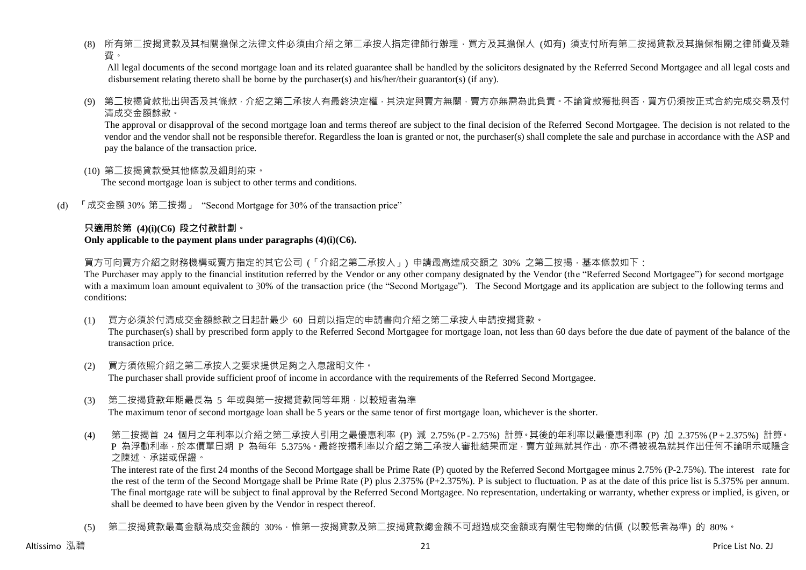(8) 所有第二按揭貸款及其相關擔保之法律文件必須由介紹之第二承按人指定律師行辦理,買方及其擔保人 (如有) 須支付所有第二按揭貸款及其擔保相關之律師費及雜 費。

All legal documents of the second mortgage loan and its related guarantee shall be handled by the solicitors designated by the Referred Second Mortgagee and all legal costs and disbursement relating thereto shall be borne by the purchaser(s) and his/her/their guarantor(s) (if any).

(9) 第二按揭貸款批出與否及其條款,介紹之第二承按人有最終決定權,其決定與賣方無關,賣方亦無需為此負責。不論貸款獲批與否,買方仍須按正式合約完成交易及付 清成交金額餘款。

The approval or disapproval of the second mortgage loan and terms thereof are subject to the final decision of the Referred Second Mortgagee. The decision is not related to the vendor and the vendor shall not be responsible therefor. Regardless the loan is granted or not, the purchaser(s) shall complete the sale and purchase in accordance with the ASP and pay the balance of the transaction price.

(10) 第二按揭貸款受其他條款及細則約束。

The second mortgage loan is subject to other terms and conditions.

(d) 「成交金額 30% 第二按揭」 "Second Mortgage for 30% of the transaction price"

### **只適用於第 (4)(i)(C6) 段之付款計劃。 Only applicable to the payment plans under paragraphs (4)(i)(C6).**

買方可向賣方介紹之財務機構或賣方指定的其它公司 (「介紹之第二承按人」) 申請最高達成交額之 30% 之第二按揭 · 基本條款如下:

The Purchaser may apply to the financial institution referred by the Vendor or any other company designated by the Vendor (the "Referred Second Mortgagee") for second mortgage with a maximum loan amount equivalent to 30% of the transaction price (the "Second Mortgage"). The Second Mortgage and its application are subject to the following terms and conditions:

(1) 買方必須於付清成交金額餘款之日起計最少 60 日前以指定的申請書向介紹之第二承按人申請按揭貸款。

The purchaser(s) shall by prescribed form apply to the Referred Second Mortgagee for mortgage loan, not less than 60 days before the due date of payment of the balance of the transaction price.

- (2) 買方須依照介紹之第二承按人之要求提供足夠之入息證明文件。 The purchaser shall provide sufficient proof of income in accordance with the requirements of the Referred Second Mortgagee.
- (3) 第二按揭貸款年期最長為 5 年或與第一按揭貸款同等年期,以較短者為準 The maximum tenor of second mortgage loan shall be 5 years or the same tenor of first mortgage loan, whichever is the shorter.
- (4) 第二按揭首 24 個月之年利率以介紹之第二承按人引用之最優惠利率 (P) 減 2.75% (P 2.75%) 計算。其後的年利率以最優惠利率 (P) 加 2.375% (P + 2.375%) 計算。 P 為浮動利率,於本價單日期 P 為每年 5.375%。最終按揭利率以介紹之第二承按人審批結果而定,賣方並無就其作出,亦不得被視為就其作出任何不論明示或隱含 之陳述、承諾或保證。

The interest rate of the first 24 months of the Second Mortgage shall be Prime Rate (P) quoted by the Referred Second Mortgagee minus 2.75% (P-2.75%). The interest rate for the rest of the term of the Second Mortgage shall be Prime Rate (P) plus 2.375% (P+2.375%). P is subject to fluctuation. P as at the date of this price list is 5.375% per annum. The final mortgage rate will be subject to final approval by the Referred Second Mortgagee. No representation, undertaking or warranty, whether express or implied, is given, or shall be deemed to have been given by the Vendor in respect thereof.

(5) 第二按揭貸款最高金額為成交金額的 30%,惟第一按揭貸款及第二按揭貸款總金額不可超過成交金額或有關住宅物業的估價 (以較低者為準) 的 80%。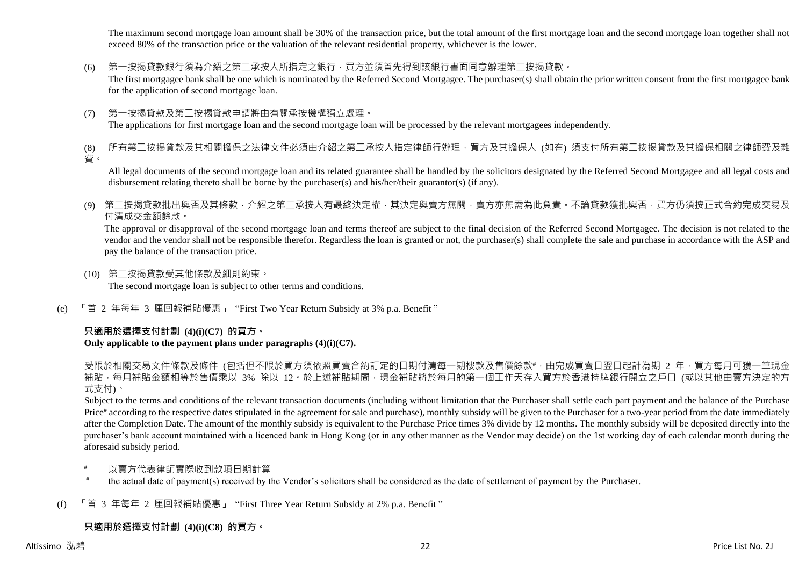The maximum second mortgage loan amount shall be 30% of the transaction price, but the total amount of the first mortgage loan and the second mortgage loan together shall not exceed 80% of the transaction price or the valuation of the relevant residential property, whichever is the lower.

(6) 第一按揭貸款銀行須為介紹之第二承按人所指定之銀行,買方並須首先得到該銀行書面同意辦理第二按揭貸款。

The first mortgagee bank shall be one which is nominated by the Referred Second Mortgagee. The purchaser(s) shall obtain the prior written consent from the first mortgagee bank for the application of second mortgage loan.

(7) 第一按揭貸款及第二按揭貸款申請將由有關承按機構獨立處理。 The applications for first mortgage loan and the second mortgage loan will be processed by the relevant mortgagees independently.

(8) 所有第二按揭貸款及其相關擔保之法律文件必須由介紹之第二承按人指定律師行辦理,買方及其擔保人 (如有) 須支付所有第二按揭貸款及其擔保相關之律師費及雜 費。

All legal documents of the second mortgage loan and its related guarantee shall be handled by the solicitors designated by the Referred Second Mortgagee and all legal costs and disbursement relating thereto shall be borne by the purchaser(s) and his/her/their guarantor(s) (if any).

(9) 第二按揭貸款批出與否及其條款,介紹之第二承按人有最終決定權,其決定與賣方無關,賣方亦無需為此負責。不論貸款獲批與否,買方仍須按正式合約完成交易及 付清成交金額餘款。

The approval or disapproval of the second mortgage loan and terms thereof are subject to the final decision of the Referred Second Mortgagee. The decision is not related to the vendor and the vendor shall not be responsible therefor. Regardless the loan is granted or not, the purchaser(s) shall complete the sale and purchase in accordance with the ASP and pay the balance of the transaction price.

- (10) 第二按揭貸款受其他條款及細則約束。 The second mortgage loan is subject to other terms and conditions.
- (e) 「首 2 年每年 3 厘回報補貼優惠」 "First Two Year Return Subsidy at 3% p.a. Benefit "

# **只適用於選擇支付計劃 (4)(i)(C7) 的買方。**

# **Only applicable to the payment plans under paragraphs (4)(i)(C7).**

受限於相關交易文件條款及條件 (包括但不限於買方須依照買賣合約訂定的日期付清每一期樓款及售價餘款#,由完成買賣日翌日起計為期 2 年,買方每月可獲一筆現金 補貼,每月補貼金額相等於售價乘以 3% 除以 12。於上述補貼期間,現金補貼將於每月的第一個工作天存入買方於香港持牌銀行開立之戶口 (或以其他由賣方決定的方 式支付)。

Subject to the terms and conditions of the relevant transaction documents (including without limitation that the Purchaser shall settle each part payment and the balance of the Purchase Price<sup>#</sup> according to the respective dates stipulated in the agreement for sale and purchase), monthly subsidy will be given to the Purchaser for a two-year period from the date immediately after the Completion Date. The amount of the monthly subsidy is equivalent to the Purchase Price times 3% divide by 12 months. The monthly subsidy will be deposited directly into the purchaser's bank account maintained with a licenced bank in Hong Kong (or in any other manner as the Vendor may decide) on the 1st working day of each calendar month during the aforesaid subsidy period.

- 以賣方代表律師實際收到款項日期計算
- # the actual date of payment(s) received by the Vendor's solicitors shall be considered as the date of settlement of payment by the Purchaser.
- (f) 「首 3 年每年 2 厘回報補貼優惠」 "First Three Year Return Subsidy at 2% p.a. Benefit "

# **只適用於選擇支付計劃 (4)(i)(C8) 的買方。**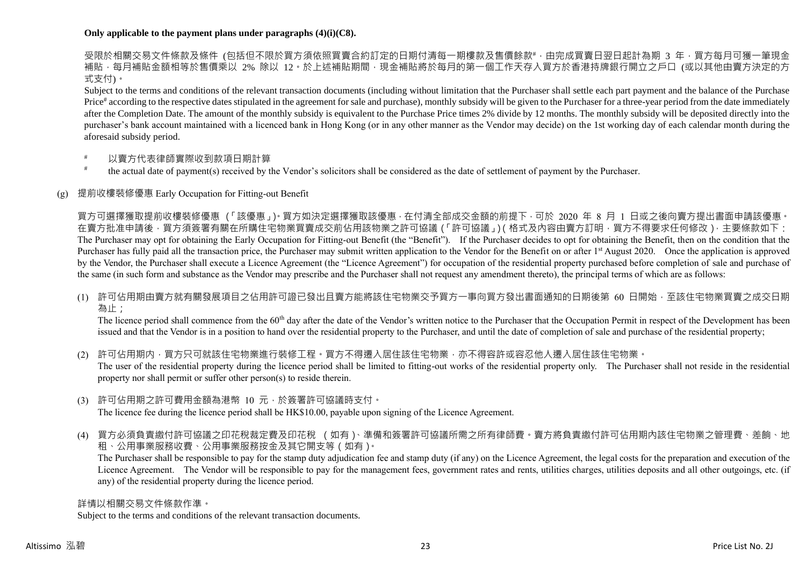### **Only applicable to the payment plans under paragraphs (4)(i)(C8).**

受限於相關交易文件條款及條件 (包括但不限於買方須依照買賣合約訂定的日期付清每一期樓款及售價餘款#,由完成買賣日翌日起計為期 3 年,買方每月可獲一筆現金 補貼,每月補貼金額相等於售價乘以 2% 除以 12。於上述補貼期間,現金補貼將於每月的第一個工作天存入買方於香港持牌銀行開立之戶口 (或以其他由賣方決定的方 式支付)。

Subject to the terms and conditions of the relevant transaction documents (including without limitation that the Purchaser shall settle each part payment and the balance of the Purchase Price<sup>#</sup> according to the respective dates stipulated in the agreement for sale and purchase), monthly subsidy will be given to the Purchaser for a three-year period from the date immediately after the Completion Date. The amount of the monthly subsidy is equivalent to the Purchase Price times 2% divide by 12 months. The monthly subsidy will be deposited directly into the purchaser's bank account maintained with a licenced bank in Hong Kong (or in any other manner as the Vendor may decide) on the 1st working day of each calendar month during the aforesaid subsidy period.

- 以賣方代表律師實際收到款項日期計算
- # the actual date of payment(s) received by the Vendor's solicitors shall be considered as the date of settlement of payment by the Purchaser.

# (g) 提前收樓裝修優惠 Early Occupation for Fitting-out Benefit

買方可選擇獲取提前收樓裝修優惠 (「該優惠」)。買方如決定選擇獲取該優惠,在付清全部成交金額的前提下,可於 2020 年 8 月 1 日或之後向賣方提出書面申請該優惠。 在賣方批准申請後,買方須簽署有關在所購住宅物業買賣成交前佔用該物業之許可協議(「許可協議」)(格式及內容由賣方訂明,買方不得要求任何修改),主要條款如下: The Purchaser may opt for obtaining the Early Occupation for Fitting-out Benefit (the "Benefit"). If the Purchaser decides to opt for obtaining the Benefit, then on the condition that the Purchaser has fully paid all the transaction price, the Purchaser may submit written application to the Vendor for the Benefit on or after 1<sup>st</sup> August 2020. Once the application is approved by the Vendor, the Purchaser shall execute a Licence Agreement (the "Licence Agreement") for occupation of the residential property purchased before completion of sale and purchase of the same (in such form and substance as the Vendor may prescribe and the Purchaser shall not request any amendment thereto), the principal terms of which are as follows:

(1) 許可佔用期由賣方就有關發展項目之佔用許可證已發出且賣方能將該住宅物業交予買方一事向買方發出書面通知的日期後第 60 日開始,至該住宅物業買賣之成交日期 為止;

The licence period shall commence from the 60<sup>th</sup> day after the date of the Vendor's written notice to the Purchaser that the Occupation Permit in respect of the Development has been issued and that the Vendor is in a position to hand over the residential property to the Purchaser, and until the date of completion of sale and purchase of the residential property;

- (2) 許可佔用期内,買方只可就該住宅物業進行裝修工程。買方不得遷入居住該住宅物業,亦不得容許或容忍他人遷入居住該住宅物業。 The user of the residential property during the licence period shall be limited to fitting-out works of the residential property only. The Purchaser shall not reside in the residential property nor shall permit or suffer other person(s) to reside therein.
- (3) 許可佔用期之許可費用金額為港幣 10 元,於簽署許可協議時支付。 The licence fee during the licence period shall be HK\$10.00, payable upon signing of the Licence Agreement.
- (4) 買方必須負責繳付許可協議之印花稅裁定費及印花稅 (如有)、準備和簽署許可協議所需之所有律師費。賣方將負責繳付許可佔用期內該住宅物業之管理費、差餉、地 租、公用事業服務收費、公用事業服務按金及其它開支等(如有)。

The Purchaser shall be responsible to pay for the stamp duty adjudication fee and stamp duty (if any) on the Licence Agreement, the legal costs for the preparation and execution of the Licence Agreement. The Vendor will be responsible to pay for the management fees, government rates and rents, utilities charges, utilities deposits and all other outgoings, etc. (if any) of the residential property during the licence period.

#### 詳情以相關交易文件條款作準。

Subject to the terms and conditions of the relevant transaction documents.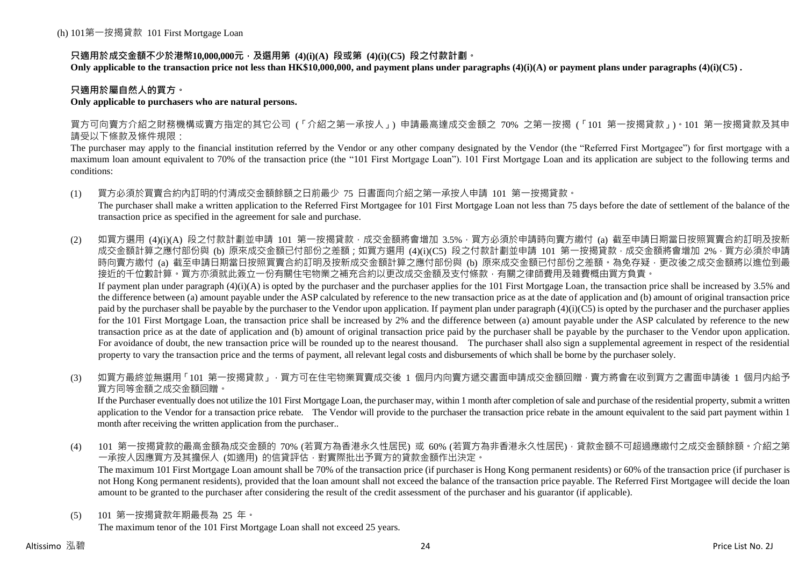# **只適用於成交金額不少於港幣10,000,000元,及選用第 (4)(i)(A) 段或第 (4)(i)(C5) 段之付款計劃。**

**Only applicable to the transaction price not less than HK\$10,000,000, and payment plans under paragraphs (4)(i)(A) or payment plans under paragraphs (4)(i)(C5) .**

### **只適用於屬自然人的買方。**

### **Only applicable to purchasers who are natural persons.**

買方可向賣方介紹之財務機構或賣方指定的其它公司 (「介紹之第一承按人」) 申請最高達成交金額之 70% 之第一按揭 (「101 第一按揭貸款」)。101 第一按揭貸款及其申 請受以下條款及條件規限:

The purchaser may apply to the financial institution referred by the Vendor or any other company designated by the Vendor (the "Referred First Mortgagee") for first mortgage with a maximum loan amount equivalent to 70% of the transaction price (the "101 First Mortgage Loan"). 101 First Mortgage Loan and its application are subject to the following terms and conditions:

(1) 買方必須於買賣合約內訂明的付清成交金額餘額之日前最少 75 日書面向介紹之第一承按人申請 101 第一按揭貸款。

The purchaser shall make a written application to the Referred First Mortgagee for 101 First Mortgage Loan not less than 75 days before the date of settlement of the balance of the transaction price as specified in the agreement for sale and purchase.

(2) 如買方選用 (4)(i)(A) 段之付款計劃並申請 101 第一按揭貸款,成交金額將會增加 3.5%,買方必須於申請時向賣方繳付 (a) 截至申請日期當日按照買賣合約訂明及按新 成交金額計算之應付部份與 (b) 原來成交金額已付部份之差額;如買方選用 (4)(i)(C5) 段之付款計劃並申請 101 第一按揭貸款,成交金額將會增加 2%,買方必須於申請 時向賣方繳付 (a) 截至申請日期當日按照買賣合約訂明及按新成交金額計算之應付部份與 (b) 原來成交金額已付部份之差額。為免存疑,更改後之成交金額將以進位到最 接近的千位數計算。買方亦須就此簽立一份有關住宅物業之補充合約以更改成交金額及支付條款,有關之律師費用及雜費概由買方負責。 If payment plan under paragraph  $(4)(i)(A)$  is opted by the purchaser and the purchaser applies for the 101 First Mortgage Loan, the transaction price shall be increased by 3.5% and

the difference between (a) amount payable under the ASP calculated by reference to the new transaction price as at the date of application and (b) amount of original transaction price paid by the purchaser shall be payable by the purchaser to the Vendor upon application. If payment plan under paragraph  $(4)(i)(C5)$  is opted by the purchaser and the purchaser applies for the 101 First Mortgage Loan, the transaction price shall be increased by 2% and the difference between (a) amount payable under the ASP calculated by reference to the new transaction price as at the date of application and (b) amount of original transaction price paid by the purchaser shall be payable by the purchaser to the Vendor upon application. For avoidance of doubt, the new transaction price will be rounded up to the nearest thousand. The purchaser shall also sign a supplemental agreement in respect of the residential property to vary the transaction price and the terms of payment, all relevant legal costs and disbursements of which shall be borne by the purchaser solely.

(3) 如買方最終並無選用「101 第一按揭貸款」,買方可在住宅物業買賣成交後 1 個月内向賣方遞交書面申請成交金額回贈,賣方將會在收到買方之書面申請後 1 個月内給予 買方同等金額之成交金額回贈。

If the Purchaser eventually does not utilize the 101 First Mortgage Loan, the purchaser may, within 1 month after completion of sale and purchase of the residential property, submit a written application to the Vendor for a transaction price rebate. The Vendor will provide to the purchaser the transaction price rebate in the amount equivalent to the said part payment within 1 month after receiving the written application from the purchaser..

(4) 101 第一按揭貸款的最高金額為成交金額的 70% (若買方為香港永久性居民) 或 60% (若買方為非香港永久性居民),貸款金額不可超過應繳付之成交金額餘額。介紹之第 一承按人因應買方及其擔保人 (如適用) 的信貸評估,對實際批出予買方的貸款金額作出決定。

The maximum 101 First Mortgage Loan amount shall be 70% of the transaction price (if purchaser is Hong Kong permanent residents) or 60% of the transaction price (if purchaser is not Hong Kong permanent residents), provided that the loan amount shall not exceed the balance of the transaction price payable. The Referred First Mortgagee will decide the loan amount to be granted to the purchaser after considering the result of the credit assessment of the purchaser and his guarantor (if applicable).

(5) 101 第一按揭貸款年期最長為 25 年。

The maximum tenor of the 101 First Mortgage Loan shall not exceed 25 years.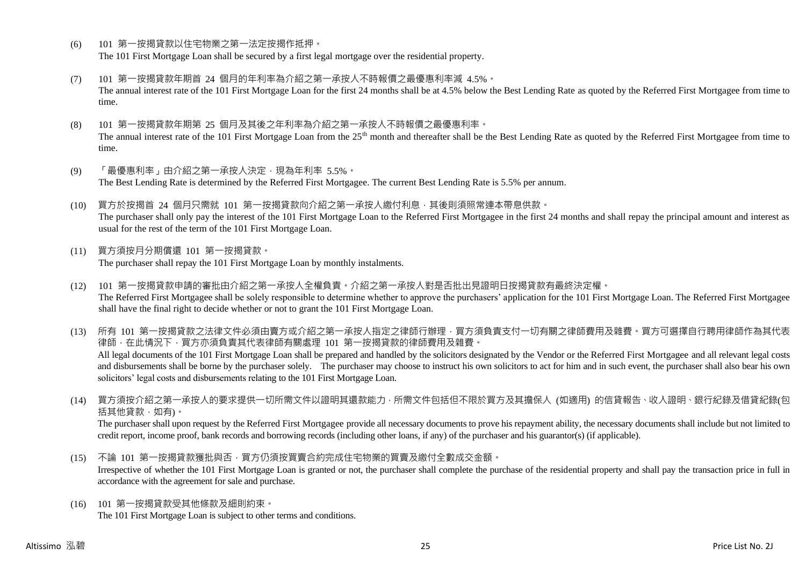- (6) 101 第一按揭貸款以住宅物業之第一法定按揭作抵押。 The 101 First Mortgage Loan shall be secured by a first legal mortgage over the residential property.
- (7) 101 第一按揭貸款年期首 24 個月的年利率為介紹之第一承按人不時報價之最優惠利率減 4.5%。 The annual interest rate of the 101 First Mortgage Loan for the first 24 months shall be at 4.5% below the Best Lending Rate as quoted by the Referred First Mortgagee from time to time.
- (8) 101 第一按揭貸款年期第 25 個月及其後之年利率為介紹之第一承按人不時報價之最優惠利率。 The annual interest rate of the 101 First Mortgage Loan from the 25<sup>th</sup> month and thereafter shall be the Best Lending Rate as quoted by the Referred First Mortgagee from time to time.
- (9) 「最優惠利率」由介紹之第一承按人決定,現為年利率 5.5%。 The Best Lending Rate is determined by the Referred First Mortgagee. The current Best Lending Rate is 5.5% per annum.
- (10) 買方於按揭首 24 個月只需就 101 第一按揭貸款向介紹之第一承按人繳付利息,其後則須照常連本帶息供款。 The purchaser shall only pay the interest of the 101 First Mortgage Loan to the Referred First Mortgagee in the first 24 months and shall repay the principal amount and interest as usual for the rest of the term of the 101 First Mortgage Loan.
- (11) 買方須按月分期償還 101 第一按揭貸款。 The purchaser shall repay the 101 First Mortgage Loan by monthly instalments.
- (12) 101 第一按揭貸款申請的審批由介紹之第一承按人全權負責。介紹之第一承按人對是否批出見證明日按揭貸款有最終決定權。 The Referred First Mortgagee shall be solely responsible to determine whether to approve the purchasers' application for the 101 First Mortgage Loan. The Referred First Mortgagee shall have the final right to decide whether or not to grant the 101 First Mortgage Loan.

(13) 所有 101 第一按揭貸款之法律文件必須由賣方或介紹之第一承按人指定之律師行辦理,買方須負責支付一切有關之律師費用及雜費。買方可選擇自行聘用律師作為其代表 律師,在此情況下,買方亦須負責其代表律師有關處理 101 第一按揭貸款的律師費用及雜費。 All legal documents of the 101 First Mortgage Loan shall be prepared and handled by the solicitors designated by the Vendor or the Referred First Mortgagee and all relevant legal costs and disbursements shall be borne by the purchaser solely. The purchaser may choose to instruct his own solicitors to act for him and in such event, the purchaser shall also bear his own solicitors' legal costs and disbursements relating to the 101 First Mortgage Loan.

(14) 買方須按介紹之第一承按人的要求提供一切所需文件以證明其還款能力,所需文件包括但不限於買方及其擔保人 (如適用) 的信貸報告、收入證明、銀行紀錄及借貸紀錄(包 括其他貸款,如有)。

The purchaser shall upon request by the Referred First Mortgagee provide all necessary documents to prove his repayment ability, the necessary documents shall include but not limited to credit report, income proof, bank records and borrowing records (including other loans, if any) of the purchaser and his guarantor(s) (if applicable).

- (15) 不論 101 第一按揭貸款獲批與否,買方仍須按買賣合約完成住宅物業的買賣及繳付全數成交金額。 Irrespective of whether the 101 First Mortgage Loan is granted or not, the purchaser shall complete the purchase of the residential property and shall pay the transaction price in full in accordance with the agreement for sale and purchase.
- (16) 101 第一按揭貸款受其他條款及細則約束。 The 101 First Mortgage Loan is subject to other terms and conditions.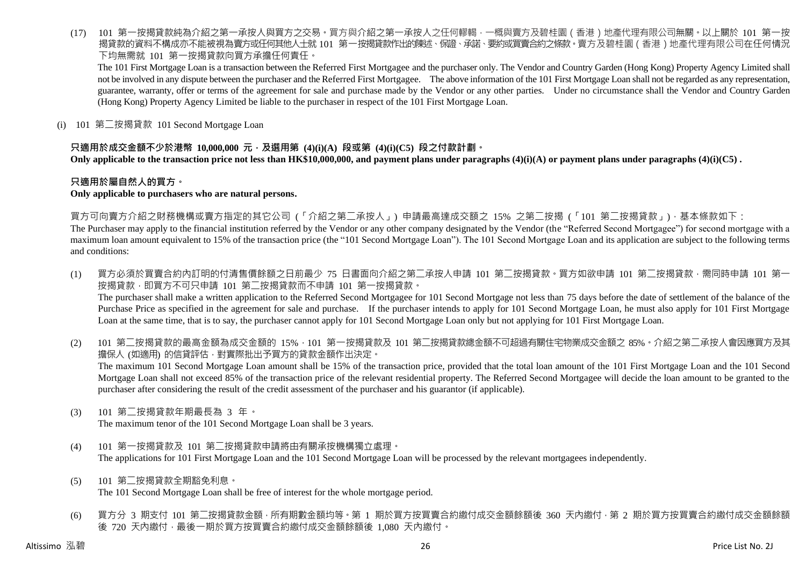(17) 101 第一按揭貸款純為介紹之第一承按人與買方之交易。買方與介紹之第一承按人之任何轇輵,一概與賣方及碧桂園(香港)地產代理有限公司無關。以上關於 101 第一按 揭貸款的資料不構成亦不能被視為賣方或任何其他人士就 101 第一按揭貸款作出的陳述、保證、承諾、要約或買賣合約之條款。賣方及碧桂園 ( 香港 ) 地產代理有限公司在任何情況 下均無需就 101 第一按揭貸款向買方承擔任何責任。

The 101 First Mortgage Loan is a transaction between the Referred First Mortgagee and the purchaser only. The Vendor and Country Garden (Hong Kong) Property Agency Limited shall not be involved in any dispute between the purchaser and the Referred First Mortgagee. The above information of the 101 First Mortgage Loan shall not be regarded as any representation, guarantee, warranty, offer or terms of the agreement for sale and purchase made by the Vendor or any other parties. Under no circumstance shall the Vendor and Country Garden (Hong Kong) Property Agency Limited be liable to the purchaser in respect of the 101 First Mortgage Loan.

(i) 101 第二按揭貸款 101 Second Mortgage Loan

# **只適用於成交金額不少於港幣 10,000,000 元,及選用第 (4)(i)(A) 段或第 (4)(i)(C5) 段之付款計劃。**

**Only applicable to the transaction price not less than HK\$10,000,000, and payment plans under paragraphs (4)(i)(A) or payment plans under paragraphs (4)(i)(C5) .**

### **只適用於屬自然人的買方。**

#### **Only applicable to purchasers who are natural persons.**

買方可向賣方介紹之財務機構或賣方指定的其它公司 (「介紹之第二承按人」) 申請最高達成交額之 15% 之第二按揭 (「101 第二按揭貸款」),基本條款如下:

The Purchaser may apply to the financial institution referred by the Vendor or any other company designated by the Vendor (the "Referred Second Mortgagee") for second mortgage with a maximum loan amount equivalent to 15% of the transaction price (the "101 Second Mortgage Loan"). The 101 Second Mortgage Loan and its application are subject to the following terms and conditions:

- (1) 買方必須於買賣合約內訂明的付清售價餘額之日前最少 75 日書面向介紹之第二承按人申請 101 第二按揭貸款。買方如欲申請 101 第二按揭貸款,需同時申請 101 第一 按揭貸款,即買方不可只申請 101 第二按揭貸款而不申請 101 第一按揭貸款。 The purchaser shall make a written application to the Referred Second Mortgagee for 101 Second Mortgage not less than 75 days before the date of settlement of the balance of the Purchase Price as specified in the agreement for sale and purchase. If the purchaser intends to apply for 101 Second Mortgage Loan, he must also apply for 101 First Mortgage Loan at the same time, that is to say, the purchaser cannot apply for 101 Second Mortgage Loan only but not applying for 101 First Mortgage Loan.
- (2) 101 第二按揭貸款的最高金額為成交金額的 15%,101 第一按揭貸款及 101 第二按揭貸款總金額不可超過有關住宅物業成交金額之 85%。介紹之第二承按人會因應買方及其 擔保人 (如適用) 的信貸評估,對實際批出予買方的貸款金額作出決定。 The maximum 101 Second Mortgage Loan amount shall be 15% of the transaction price, provided that the total loan amount of the 101 First Mortgage Loan and the 101 Second Mortgage Loan shall not exceed 85% of the transaction price of the relevant residential property. The Referred Second Mortgagee will decide the loan amount to be granted to the purchaser after considering the result of the credit assessment of the purchaser and his guarantor (if applicable).
- (3) 101 第二按揭貸款年期最長為 3 年。

The maximum tenor of the 101 Second Mortgage Loan shall be 3 years.

- (4) 101 第一按揭貸款及 101 第二按揭貸款申請將由有關承按機構獨立處理。 The applications for 101 First Mortgage Loan and the 101 Second Mortgage Loan will be processed by the relevant mortgagees independently.
- (5) 101 第二按揭貸款全期豁免利息。 The 101 Second Mortgage Loan shall be free of interest for the whole mortgage period.
- (6) 買方分 3 期支付 101 第二按揭貸款金額,所有期數金額均等。第 1 期於買方按買賣合約繳付成交金額餘額後 360 天內繳付,第 2 期於買方按買賣合約繳付成交金額餘額 後 720 天內繳付,最後一期於買方按買賣合約繳付成交金額餘額後 1,080 天內繳付。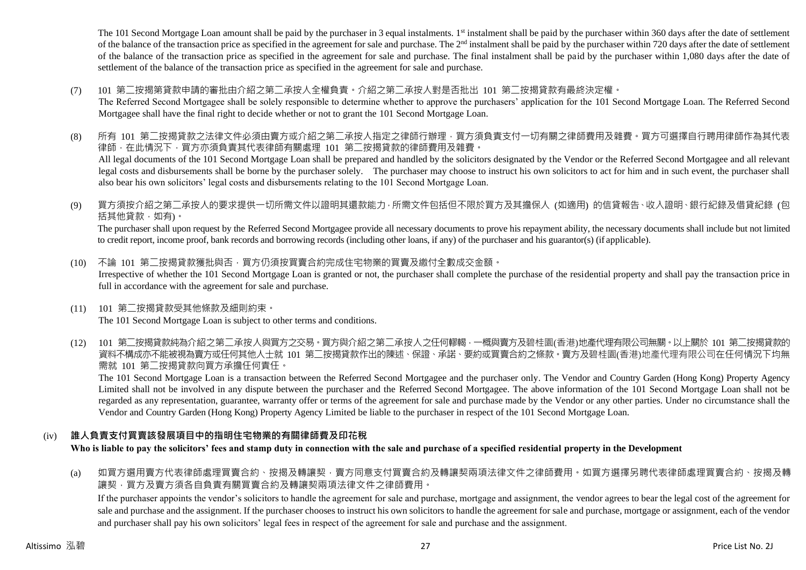The 101 Second Mortgage Loan amount shall be paid by the purchaser in 3 equal instalments. 1<sup>st</sup> instalment shall be paid by the purchaser within 360 days after the date of settlement of the balance of the transaction price as specified in the agreement for sale and purchase. The  $2<sup>nd</sup>$  instalment shall be paid by the purchaser within 720 days after the date of settlement of the balance of the transaction price as specified in the agreement for sale and purchase. The final instalment shall be paid by the purchaser within 1,080 days after the date of settlement of the balance of the transaction price as specified in the agreement for sale and purchase.

(7) 101 第二按揭第貸款申請的審批由介紹之第二承按人全權負責。介紹之第二承按人對是否批出 101 第二按揭貸款有最終決定權。

The Referred Second Mortgagee shall be solely responsible to determine whether to approve the purchasers' application for the 101 Second Mortgage Loan. The Referred Second Mortgagee shall have the final right to decide whether or not to grant the 101 Second Mortgage Loan.

- (8) 所有 101 第二按揭貸款之法律文件必須由賣方或介紹之第二承按人指定之律師行辦理,買方須負責支付一切有關之律師費用及雜費。買方可選擇自行聘用律師作為其代表 律師,在此情況下,買方亦須負責其代表律師有關處理 101 第二按揭貸款的律師費用及雜費。 All legal documents of the 101 Second Mortgage Loan shall be prepared and handled by the solicitors designated by the Vendor or the Referred Second Mortgagee and all relevant legal costs and disbursements shall be borne by the purchaser solely. The purchaser may choose to instruct his own solicitors to act for him and in such event, the purchaser shall also bear his own solicitors' legal costs and disbursements relating to the 101 Second Mortgage Loan.
- (9) 買方須按介紹之第二承按人的要求提供一切所需文件以證明其還款能力,所需文件包括但不限於買方及其擔保人 (如適用) 的信貸報告、收入證明、銀行紀錄及借貸紀錄 (包 括其他貸款,如有)。

The purchaser shall upon request by the Referred Second Mortgagee provide all necessary documents to prove his repayment ability, the necessary documents shall include but not limited to credit report, income proof, bank records and borrowing records (including other loans, if any) of the purchaser and his guarantor(s) (if applicable).

- (10) 不論 101 第二按揭貸款獲批與否,買方仍須按買賣合約完成住宅物業的買賣及繳付全數成交金額。 Irrespective of whether the 101 Second Mortgage Loan is granted or not, the purchaser shall complete the purchase of the residential property and shall pay the transaction price in full in accordance with the agreement for sale and purchase.
- (11) 101 第二按揭貸款受其他條款及細則約束。 The 101 Second Mortgage Loan is subject to other terms and conditions.
- (12) 101 第二按揭貸款純為介紹之第二承按人與買方之交易。買方與介紹之第二承按人之任何轇輵,一概與賣方及碧桂園(香港)地產代理有限公司無關。以上關於 101 第二按揭貸款的 資料不構成亦不能被視為賣方或任何其他人士就 101 第二按揭貸款作出的陳述、保證、承諾、要約或買賣合約之條款。賣方及碧桂園(香港)地產代理有限公司在任何情況下均無 需就 101 第二按揭貸款向買方承擔任何責任。

The 101 Second Mortgage Loan is a transaction between the Referred Second Mortgagee and the purchaser only. The Vendor and Country Garden (Hong Kong) Property Agency Limited shall not be involved in any dispute between the purchaser and the Referred Second Mortgagee. The above information of the 101 Second Mortgage Loan shall not be regarded as any representation, guarantee, warranty offer or terms of the agreement for sale and purchase made by the Vendor or any other parties. Under no circumstance shall the Vendor and Country Garden (Hong Kong) Property Agency Limited be liable to the purchaser in respect of the 101 Second Mortgage Loan.

# (iv) **誰人負責支付買賣該發展項目中的指明住宅物業的有關律師費及印花稅**

**Who is liable to pay the solicitors' fees and stamp duty in connection with the sale and purchase of a specified residential property in the Development**

(a) 如買方選用賣方代表律師處理買賣合約、按揭及轉讓契,賣方同意支付買賣合約及轉讓契兩項法律文件之律師費用。如買方選擇另聘代表律師處理買賣合約、按揭及轉 譲契,買方及賣方須各自負責有關買賣合約及轉讓契兩項法律文件之律師費用。

If the purchaser appoints the vendor's solicitors to handle the agreement for sale and purchase, mortgage and assignment, the vendor agrees to bear the legal cost of the agreement for sale and purchase and the assignment. If the purchaser chooses to instruct his own solicitors to handle the agreement for sale and purchase, mortgage or assignment, each of the vendor and purchaser shall pay his own solicitors' legal fees in respect of the agreement for sale and purchase and the assignment.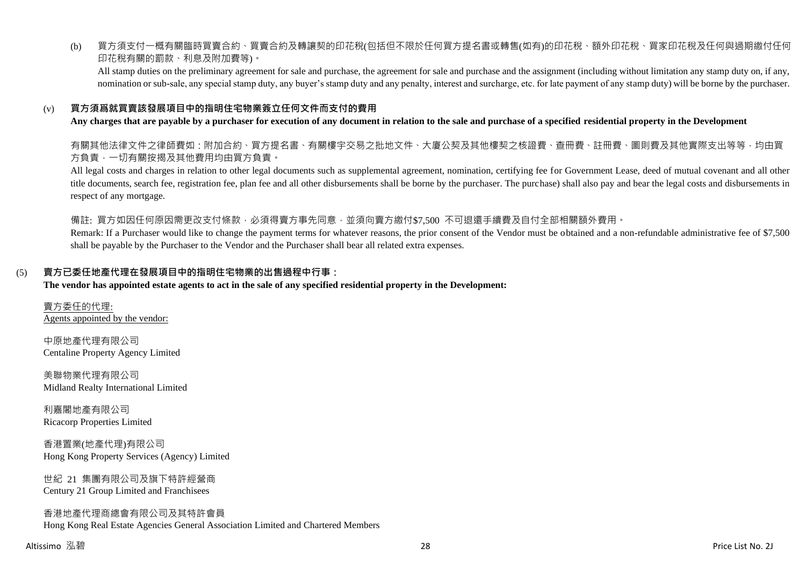(b) 買方須支付一概有關臨時買賣合約、買賣合約及轉讓契的印花稅(包括但不限於任何買方提名書或轉售(如有)的印花稅、額外印花稅、買家印花稅及任何與過期繳付任何 印花稅有關的罰款、利息及附加費等)。

All stamp duties on the preliminary agreement for sale and purchase, the agreement for sale and purchase and the assignment (including without limitation any stamp duty on, if any, nomination or sub-sale, any special stamp duty, any buyer's stamp duty and any penalty, interest and surcharge, etc. for late payment of any stamp duty) will be borne by the purchaser.

### (v) **買方須爲就買賣該發展項目中的指明住宅物業簽立任何文件而支付的費用**

#### **Any charges that are payable by a purchaser for execution of any document in relation to the sale and purchase of a specified residential property in the Development**

有關其他法律文件之律師費如:附加合約、買方提名書、有關樓宇交易之批地文件、大廈公契及其他樓契之核證費、查冊費、註冊費、圖則費及其他實際支出等等,均由買 方負責,一切有關按揭及其他費用均由買方負責。

All legal costs and charges in relation to other legal documents such as supplemental agreement, nomination, certifying fee for Government Lease, deed of mutual covenant and all other title documents, search fee, registration fee, plan fee and all other disbursements shall be borne by the purchaser. The purchase) shall also pay and bear the legal costs and disbursements in respect of any mortgage.

備註: 買方如因任何原因需更改支付條款,必須得賣方事先同意,並須向賣方繳付\$7,500 不可退還手續費及自付全部相關額外費用。

Remark: If a Purchaser would like to change the payment terms for whatever reasons, the prior consent of the Vendor must be obtained and a non-refundable administrative fee of \$7,500 shall be payable by the Purchaser to the Vendor and the Purchaser shall bear all related extra expenses.

#### (5) **賣方已委任地產代理在發展項目中的指明住宅物業的出售過程中行事:**

#### **The vendor has appointed estate agents to act in the sale of any specified residential property in the Development:**

賣方委任的代理: Agents appointed by the vendor:

中原地產代理有限公司 Centaline Property Agency Limited

美聯物業代理有限公司 Midland Realty International Limited

利嘉閣地產有限公司 Ricacorp Properties Limited

香港置業(地產代理)有限公司 Hong Kong Property Services (Agency) Limited

世紀 21 集團有限公司及旗下特許經營商 Century 21 Group Limited and Franchisees

香港地產代理商總會有限公司及其特許會員 Hong Kong Real Estate Agencies General Association Limited and Chartered Members